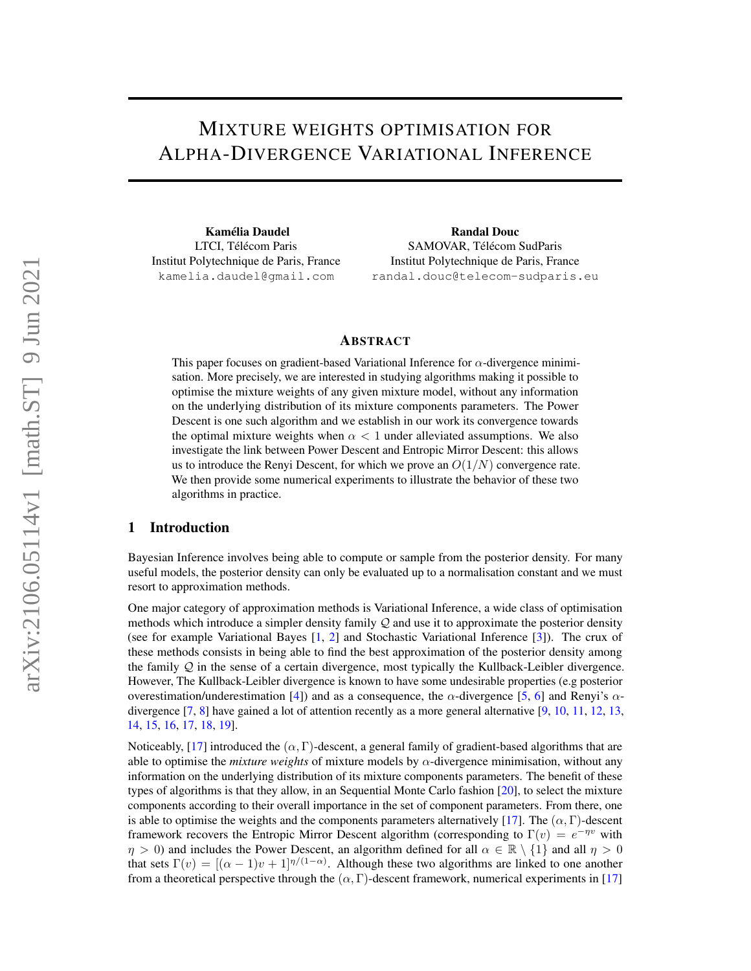# MIXTURE WEIGHTS OPTIMISATION FOR ALPHA-DIVERGENCE VARIATIONAL INFERENCE

Kamélia Daudel LTCI, Télécom Paris Institut Polytechnique de Paris, France kamelia.daudel@gmail.com

Randal Douc SAMOVAR, Télécom SudParis Institut Polytechnique de Paris, France randal.douc@telecom-sudparis.eu

#### ABSTRACT

This paper focuses on gradient-based Variational Inference for  $\alpha$ -divergence minimisation. More precisely, we are interested in studying algorithms making it possible to optimise the mixture weights of any given mixture model, without any information on the underlying distribution of its mixture components parameters. The Power Descent is one such algorithm and we establish in our work its convergence towards the optimal mixture weights when  $\alpha < 1$  under alleviated assumptions. We also investigate the link between Power Descent and Entropic Mirror Descent: this allows us to introduce the Renyi Descent, for which we prove an  $O(1/N)$  convergence rate. We then provide some numerical experiments to illustrate the behavior of these two algorithms in practice.

# 1 Introduction

Bayesian Inference involves being able to compute or sample from the posterior density. For many useful models, the posterior density can only be evaluated up to a normalisation constant and we must resort to approximation methods.

One major category of approximation methods is Variational Inference, a wide class of optimisation methods which introduce a simpler density family  $\mathcal Q$  and use it to approximate the posterior density (see for example Variational Bayes [\[1,](#page-9-0) [2\]](#page-9-1) and Stochastic Variational Inference [\[3\]](#page-9-2)). The crux of these methods consists in being able to find the best approximation of the posterior density among the family  $Q$  in the sense of a certain divergence, most typically the Kullback-Leibler divergence. However, The Kullback-Leibler divergence is known to have some undesirable properties (e.g posterior overestimation/underestimation [\[4\]](#page-9-3)) and as a consequence, the α-divergence [\[5,](#page-9-4) [6\]](#page-9-5) and Renyi's  $\alpha$ divergence [\[7,](#page-9-6) [8\]](#page-9-7) have gained a lot of attention recently as a more general alternative [\[9,](#page-9-8) [10,](#page-10-0) [11,](#page-10-1) [12,](#page-10-2) [13,](#page-10-3) [14,](#page-10-4) [15,](#page-10-5) [16,](#page-10-6) [17,](#page-10-7) [18,](#page-10-8) [19\]](#page-10-9).

Noticeably, [\[17\]](#page-10-7) introduced the  $(\alpha, \Gamma)$ -descent, a general family of gradient-based algorithms that are able to optimise the *mixture weights* of mixture models by  $\alpha$ -divergence minimisation, without any information on the underlying distribution of its mixture components parameters. The benefit of these types of algorithms is that they allow, in an Sequential Monte Carlo fashion [\[20\]](#page-10-10), to select the mixture components according to their overall importance in the set of component parameters. From there, one is able to optimise the weights and the components parameters alternatively [\[17\]](#page-10-7). The  $(\alpha, \Gamma)$ -descent framework recovers the Entropic Mirror Descent algorithm (corresponding to  $\Gamma(v) = e^{-\eta v}$  with  $\eta > 0$ ) and includes the Power Descent, an algorithm defined for all  $\alpha \in \mathbb{R} \setminus \{1\}$  and all  $\eta > 0$ that sets  $\Gamma(v) = [(\alpha - 1)v + 1]^{\eta/(1 - \alpha)}$ . Although these two algorithms are linked to one another from a theoretical perspective through the  $(\alpha, \Gamma)$ -descent framework, numerical experiments in [\[17\]](#page-10-7)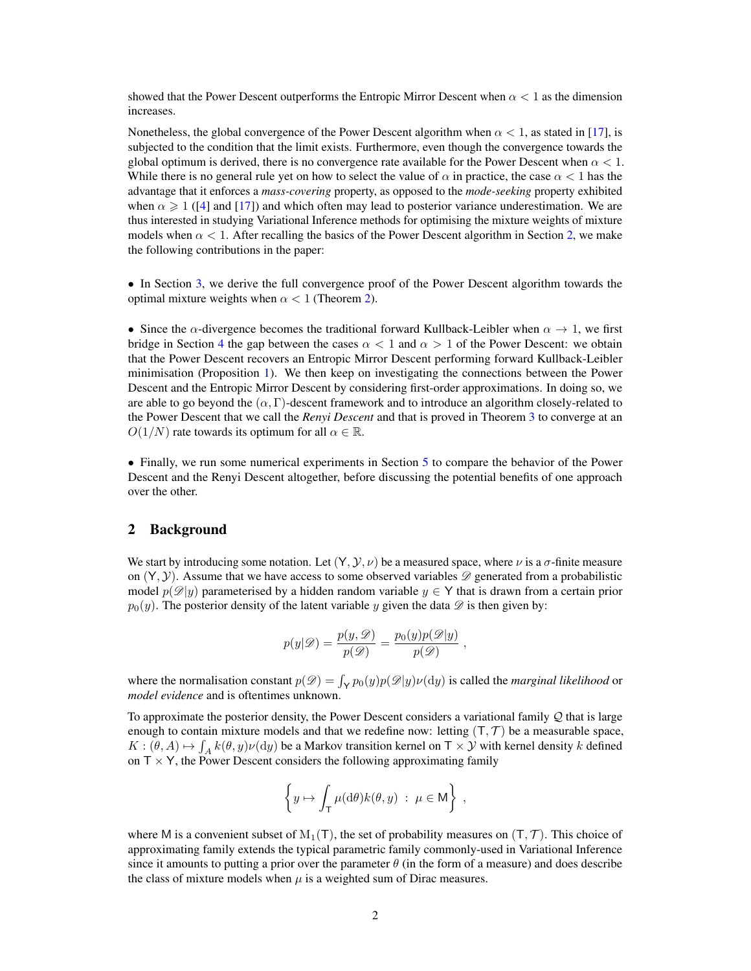showed that the Power Descent outperforms the Entropic Mirror Descent when  $\alpha < 1$  as the dimension increases.

Nonetheless, the global convergence of the Power Descent algorithm when  $\alpha < 1$ , as stated in [\[17\]](#page-10-7), is subjected to the condition that the limit exists. Furthermore, even though the convergence towards the global optimum is derived, there is no convergence rate available for the Power Descent when  $\alpha < 1$ . While there is no general rule yet on how to select the value of  $\alpha$  in practice, the case  $\alpha < 1$  has the advantage that it enforces a *mass-covering* property, as opposed to the *mode-seeking* property exhibited when  $\alpha \geq 1$  ([\[4\]](#page-9-3) and [\[17\]](#page-10-7)) and which often may lead to posterior variance underestimation. We are thus interested in studying Variational Inference methods for optimising the mixture weights of mixture models when  $\alpha < 1$ . After recalling the basics of the Power Descent algorithm in Section [2,](#page-1-0) we make the following contributions in the paper:

• In Section [3,](#page-3-0) we derive the full convergence proof of the Power Descent algorithm towards the optimal mixture weights when  $\alpha < 1$  (Theorem [2\)](#page-4-0).

• Since the  $\alpha$ -divergence becomes the traditional forward Kullback-Leibler when  $\alpha \to 1$ , we first bridge in Section [4](#page-5-0) the gap between the cases  $\alpha < 1$  and  $\alpha > 1$  of the Power Descent: we obtain that the Power Descent recovers an Entropic Mirror Descent performing forward Kullback-Leibler minimisation (Proposition [1\)](#page-5-1). We then keep on investigating the connections between the Power Descent and the Entropic Mirror Descent by considering first-order approximations. In doing so, we are able to go beyond the  $(\alpha, \Gamma)$ -descent framework and to introduce an algorithm closely-related to the Power Descent that we call the *Renyi Descent* and that is proved in Theorem [3](#page-6-0) to converge at an  $O(1/N)$  rate towards its optimum for all  $\alpha \in \mathbb{R}$ .

• Finally, we run some numerical experiments in Section [5](#page-7-0) to compare the behavior of the Power Descent and the Renyi Descent altogether, before discussing the potential benefits of one approach over the other.

#### <span id="page-1-0"></span>2 Background

We start by introducing some notation. Let  $(Y, Y, \nu)$  be a measured space, where  $\nu$  is a  $\sigma$ -finite measure on  $(Y, Y)$ . Assume that we have access to some observed variables  $\mathscr{D}$  generated from a probabilistic model  $p(\mathscr{D}|y)$  parameterised by a hidden random variable  $y \in Y$  that is drawn from a certain prior  $p_0(y)$ . The posterior density of the latent variable y given the data  $\mathscr D$  is then given by:

$$
p(y|\mathscr{D}) = \frac{p(y,\mathscr{D})}{p(\mathscr{D})} = \frac{p_0(y)p(\mathscr{D}|y)}{p(\mathscr{D})}
$$

,

where the normalisation constant  $p(\mathcal{D}) = \int_{\mathsf{Y}} p_0(y) p(\mathcal{D}|y) \nu(\mathrm{d}y)$  is called the *marginal likelihood* or *model evidence* and is oftentimes unknown.

To approximate the posterior density, the Power Descent considers a variational family Q that is large enough to contain mixture models and that we redefine now: letting  $(T, \mathcal{T})$  be a measurable space,  $K: (\theta, A) \mapsto \int_A k(\theta, y) \nu(\mathrm{d}y)$  be a Markov transition kernel on  $\mathsf{T} \times \mathcal{Y}$  with kernel density k defined on  $T \times Y$ , the Power Descent considers the following approximating family

$$
\left\{y\mapsto \int_{\mathsf{T}} \mu(\mathrm{d}\theta) k(\theta,y) \;:\; \mu\in \mathsf{M}\right\}\;,
$$

where M is a convenient subset of  $M_1(T)$ , the set of probability measures on  $(T, T)$ . This choice of approximating family extends the typical parametric family commonly-used in Variational Inference since it amounts to putting a prior over the parameter  $\theta$  (in the form of a measure) and does describe the class of mixture models when  $\mu$  is a weighted sum of Dirac measures.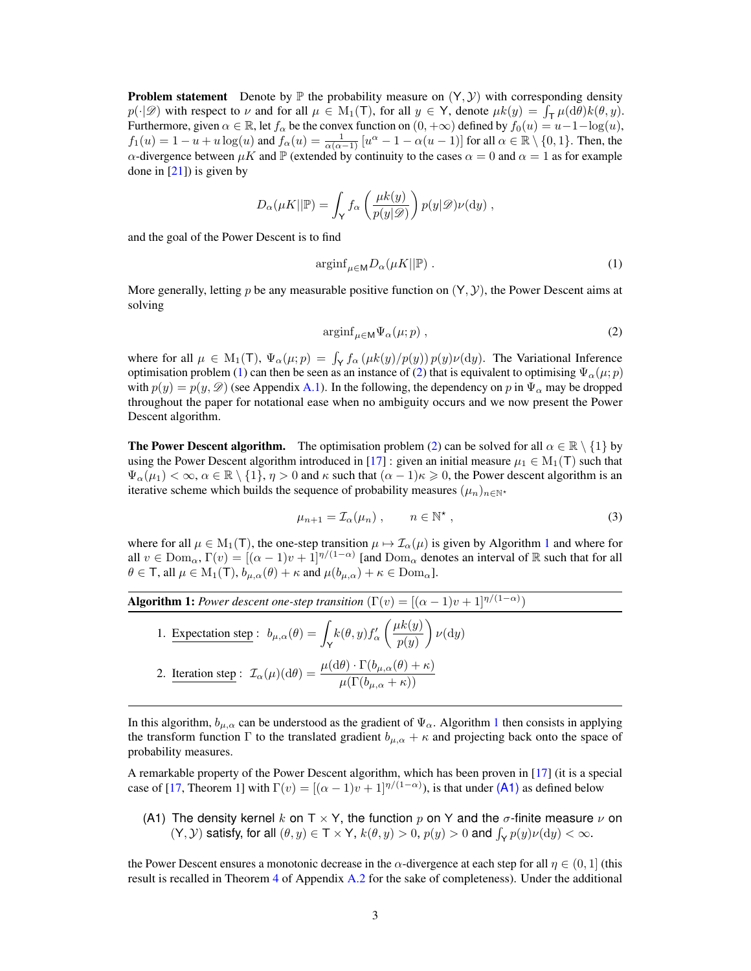**Problem statement** Denote by  $\mathbb P$  the probability measure on  $(Y, Y)$  with corresponding density  $p(\cdot | \mathscr{D})$  with respect to  $\nu$  and for all  $\mu \in M_1(\mathsf{T})$ , for all  $y \in \mathsf{Y}$ , denote  $\mu k(y) = \int_{\mathsf{T}} \mu(\mathrm{d}\theta) k(\theta, y)$ . Furthermore, given  $\alpha \in \mathbb{R}$ , let  $f_\alpha$  be the convex function on  $(0, +\infty)$  defined by  $f_0(u) = u-1-\log(u)$ ,  $f_1(u) = 1 - u + u \log(u)$  and  $f_\alpha(u) = \frac{1}{\alpha(\alpha-1)} [u^\alpha - 1 - \alpha(u-1)]$  for all  $\alpha \in \mathbb{R} \setminus \{0,1\}$ . Then, the  $\alpha$ -divergence between  $\mu K$  and  $\mathbb P$  (extended by continuity to the cases  $\alpha = 0$  and  $\alpha = 1$  as for example done in  $[21]$ ) is given by

$$
D_{\alpha}(\mu K || \mathbb{P}) = \int_{\mathsf{Y}} f_{\alpha}\left(\frac{\mu k(y)}{p(y|\mathscr{D})}\right) p(y|\mathscr{D}) \nu(\mathrm{d} y) ,
$$

and the goal of the Power Descent is to find

<span id="page-2-0"></span>
$$
\operatorname{arginf}_{\mu \in \mathsf{M}} D_{\alpha}(\mu K \|\mathbb{P}) \ . \tag{1}
$$

More generally, letting p be any measurable positive function on  $(Y, Y)$ , the Power Descent aims at solving

<span id="page-2-1"></span>
$$
\operatorname{arginf}_{\mu \in \mathsf{M}} \Psi_{\alpha}(\mu; p) , \qquad (2)
$$

where for all  $\mu \in M_1(\mathsf{T})$ ,  $\Psi_\alpha(\mu; p) = \int_{\mathsf{Y}} f_\alpha(\mu k(y)/p(y)) p(y) \nu(\mathrm{d}y)$ . The Variational Inference optimisation problem [\(1\)](#page-2-0) can then be seen as an instance of [\(2\)](#page-2-1) that is equivalent to optimising  $\Psi_{\alpha}(\mu; p)$ with  $p(y) = p(y, \mathcal{D})$  (see Appendix [A.1\)](#page-11-0). In the following, the dependency on p in  $\Psi_{\alpha}$  may be dropped throughout the paper for notational ease when no ambiguity occurs and we now present the Power Descent algorithm.

**The Power Descent algorithm.** The optimisation problem [\(2\)](#page-2-1) can be solved for all  $\alpha \in \mathbb{R} \setminus \{1\}$  by using the Power Descent algorithm introduced in [\[17\]](#page-10-7) : given an initial measure  $\mu_1 \in M_1(\mathsf{T})$  such that  $\Psi_{\alpha}(\mu_1) < \infty, \alpha \in \mathbb{R} \setminus \{1\}, \eta > 0$  and  $\kappa$  such that  $(\alpha - 1)\kappa \geq 0$ , the Power descent algorithm is an iterative scheme which builds the sequence of probability measures  $(\mu_n)_{n\in\mathbb{N}^*}$ 

<span id="page-2-4"></span>
$$
\mu_{n+1} = \mathcal{I}_{\alpha}(\mu_n) , \qquad n \in \mathbb{N}^* , \qquad (3)
$$

where for all  $\mu \in M_1(T)$  $\mu \in M_1(T)$  $\mu \in M_1(T)$ , the one-step transition  $\mu \mapsto \mathcal{I}_{\alpha}(\mu)$  is given by Algorithm 1 and where for all  $v \in \text{Dom}_{\alpha}$ ,  $\Gamma(v) = [(\alpha - 1)v + 1]^{\eta/(1-\alpha)}$  [and  $\text{Dom}_{\alpha}$  denotes an interval of R such that for all  $\theta \in \mathsf{T}$ , all  $\mu \in M_1(\mathsf{T})$ ,  $b_{\mu,\alpha}(\theta) + \kappa$  and  $\mu(b_{\mu,\alpha}) + \kappa \in \mathsf{Dom}_\alpha$ .

<span id="page-2-2"></span>**Algorithm 1:** *Power descent one-step transition*  $(\Gamma(v) = [(\alpha - 1)v + 1]^{\eta/(1-\alpha)})$ 

1. Expectation step :  $b_{\mu,\alpha}(\theta) = \int_{\mathsf{Y}}$  $k(\theta, y) f'_{\alpha}$  $\mu k(y)$  $p(y)$  $\bigg)$   $\nu(dy)$ 2. Iteration step:  $\mathcal{I}_{\alpha}(\mu)(d\theta) = \frac{\mu(d\theta) \cdot \Gamma(b_{\mu,\alpha}(\theta) + \kappa)}{\mu(\Gamma(b_{\mu,\alpha} + \kappa))}$ 

In this algorithm,  $b_{\mu,\alpha}$  can be understood as the gradient of  $\Psi_{\alpha}$ . Algorithm [1](#page-2-2) then consists in applying the transform function  $\Gamma$  to the translated gradient  $b_{\mu,\alpha} + \kappa$  and projecting back onto the space of probability measures.

A remarkable property of the Power Descent algorithm, which has been proven in [\[17\]](#page-10-7) (it is a special case of [\[17,](#page-10-7) Theorem 1] with  $\Gamma(v) = [(\alpha - 1)v + 1]^{\eta/(1 - \alpha)}$ , is that under [\(A1\)](#page-2-3) as defined below

<span id="page-2-3"></span>(A1) The density kernel k on T  $\times$  Y, the function p on Y and the  $\sigma$ -finite measure  $\nu$  on  $(Y, Y)$  satisfy, for all  $(\theta, y) \in T \times Y$ ,  $k(\theta, y) > 0$ ,  $p(y) > 0$  and  $\int_{Y} p(y) \nu(dy) < \infty$ .

the Power Descent ensures a monotonic decrease in the  $\alpha$ -divergence at each step for all  $\eta \in (0,1]$  (this result is recalled in Theorem [4](#page-11-1) of Appendix [A.2](#page-11-2) for the sake of completeness). Under the additional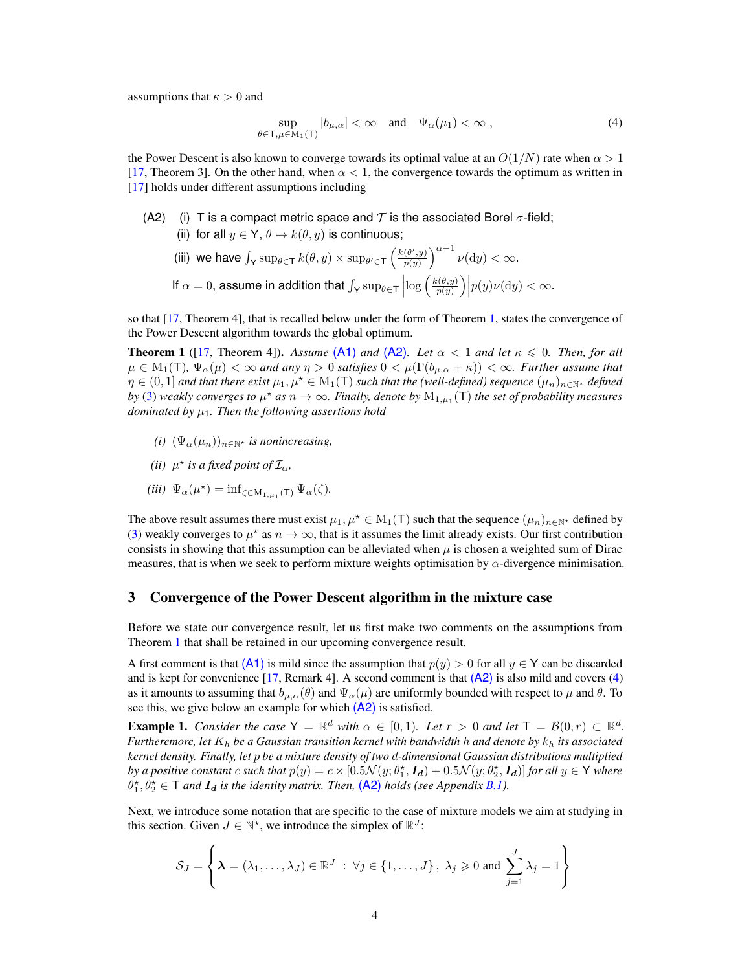assumptions that  $\kappa > 0$  and

<span id="page-3-3"></span>
$$
\sup_{\theta \in \mathsf{T}, \mu \in \mathcal{M}_1(\mathsf{T})} |b_{\mu,\alpha}| < \infty \quad \text{and} \quad \Psi_\alpha(\mu_1) < \infty \;, \tag{4}
$$

the Power Descent is also known to converge towards its optimal value at an  $O(1/N)$  rate when  $\alpha > 1$ [\[17,](#page-10-7) Theorem 3]. On the other hand, when  $\alpha < 1$ , the convergence towards the optimum as written in [\[17\]](#page-10-7) holds under different assumptions including

<span id="page-3-2"></span>(A2) (i) T is a compact metric space and T is the associated Borel  $\sigma$ -field; (ii) for all  $y \in Y$ ,  $\theta \mapsto k(\theta, y)$  is continuous;

(iii) we have 
$$
\int_{\mathsf{Y}} \sup_{\theta \in \mathsf{T}} k(\theta, y) \times \sup_{\theta' \in \mathsf{T}} \left( \frac{k(\theta', y)}{p(y)} \right)^{\alpha - 1} \nu(\mathrm{d}y) < \infty.
$$
  
If  $\alpha = 0$ , assume in addition that  $\int_{\mathsf{Y}} \sup_{\theta \in \mathsf{T}} \left| \log \left( \frac{k(\theta, y)}{p(y)} \right) \middle| p(y) \nu(\mathrm{d}y) < \infty.$ 

so that [\[17,](#page-10-7) Theorem 4], that is recalled below under the form of Theorem [1,](#page-3-1) states the convergence of the Power Descent algorithm towards the global optimum.

<span id="page-3-1"></span>**Theorem 1** ([\[17,](#page-10-7) Theorem 4]). Assume [\(A1\)](#page-2-3) and [\(A2\)](#page-3-2). Let  $\alpha < 1$  and let  $\kappa \leq 0$ . Then, for all  $\mu \in M_1(T)$ ,  $\Psi_\alpha(\mu) < \infty$  and any  $\eta > 0$  satisfies  $0 < \mu(\Gamma(b_{\mu,\alpha} + \kappa)) < \infty$ . Further assume that  $\eta \in (0,1]$  *and that there exist*  $\mu_1, \mu^* \in M_1(\mathsf{T})$  *such that the (well-defined) sequence*  $(\mu_n)_{n \in \mathbb{N}^*}$  *defined by* [\(3\)](#page-2-4) weakly converges to  $\mu^*$  as  $n \to \infty$ . Finally, denote by  $M_{1,\mu_1}(\mathsf{T})$  the set of probability measures *dominated by*  $\mu_1$ *. Then the following assertions hold* 

- *(i)*  $(\Psi_{\alpha}(\mu_n))_{n\in\mathbb{N}^*}$  *is nonincreasing,*
- *(ii)*  $\mu^*$  *is a fixed point of*  $\mathcal{I}_{\alpha}$ *,*
- <span id="page-3-5"></span>(*iii*)  $\Psi_{\alpha}(\mu^*) = \inf_{\zeta \in M_{1,\mu_1}(T)} \Psi_{\alpha}(\zeta)$ .

The above result assumes there must exist  $\mu_1, \mu^* \in M_1(T)$  such that the sequence  $(\mu_n)_{n \in \mathbb{N}^*}$  defined by [\(3\)](#page-2-4) weakly converges to  $\mu^*$  as  $n \to \infty$ , that is it assumes the limit already exists. Our first contribution consists in showing that this assumption can be alleviated when  $\mu$  is chosen a weighted sum of Dirac measures, that is when we seek to perform mixture weights optimisation by  $\alpha$ -divergence minimisation.

#### <span id="page-3-0"></span>3 Convergence of the Power Descent algorithm in the mixture case

Before we state our convergence result, let us first make two comments on the assumptions from Theorem [1](#page-3-1) that shall be retained in our upcoming convergence result.

A first comment is that [\(A1\)](#page-2-3) is mild since the assumption that  $p(y) > 0$  for all  $y \in Y$  can be discarded and is kept for convenience [\[17,](#page-10-7) Remark 4]. A second comment is that  $(A2)$  is also mild and covers [\(4\)](#page-3-3) as it amounts to assuming that  $b_{\mu,\alpha}(\theta)$  and  $\Psi_{\alpha}(\mu)$  are uniformly bounded with respect to  $\mu$  and  $\theta$ . To see this, we give below an example for which  $(A2)$  is satisfied.

<span id="page-3-4"></span>**Example 1.** *Consider the case*  $Y = \mathbb{R}^d$  *with*  $\alpha \in [0,1)$ *. Let*  $r > 0$  *and let*  $T = \mathcal{B}(0,r) \subset \mathbb{R}^d$ *. Furtheremore, let* K<sup>h</sup> *be a Gaussian transition kernel with bandwidth* h *and denote by* k<sup>h</sup> *its associated kernel density. Finally, let* p *be a mixture density of two* d*-dimensional Gaussian distributions multiplied* by a positive constant  $c$  such that  $p(y) = c \times [0.5\mathcal{N}(y;\theta_1^*, \bm{I_d}) + 0.5\mathcal{N}(y;\theta_2^*, \bm{I_d})]$  for all  $y \in \mathsf{Y}$  where  $\theta_1^*, \theta_2^* \in \mathsf{T}$  and  $\mathbf{I}_d$  is the identity matrix. Then,  $(A2)$  holds (see Appendix [B.1\)](#page-12-0).

Next, we introduce some notation that are specific to the case of mixture models we aim at studying in this section. Given  $J \in \mathbb{N}^*$ , we introduce the simplex of  $\mathbb{R}^J$ :

$$
S_J = \left\{ \lambda = (\lambda_1, \dots, \lambda_J) \in \mathbb{R}^J : \forall j \in \{1, \dots, J\}, \lambda_j \geqslant 0 \text{ and } \sum_{j=1}^J \lambda_j = 1 \right\}
$$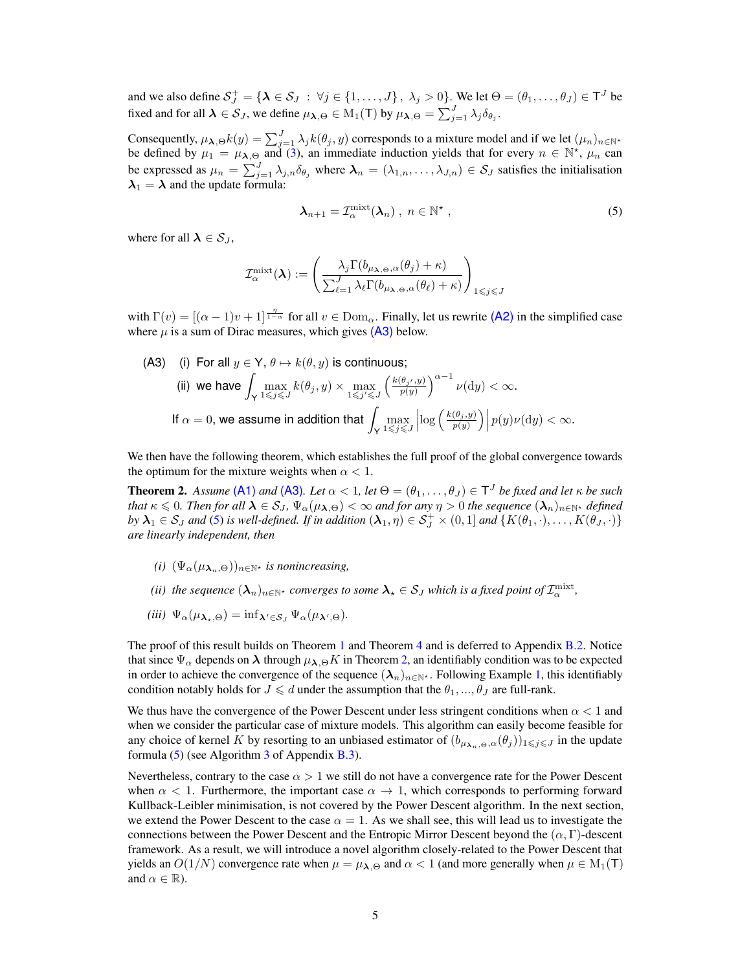and we also define  $S_J^+ = \{ \lambda \in S_J : \forall j \in \{1, ..., J\}$ ,  $\lambda_j > 0 \}$ . We let  $\Theta = (\theta_1, ..., \theta_J) \in \mathsf{T}^J$  be fixed and for all  $\lambda \in \mathcal{S}_J$ , we define  $\mu_{\lambda,\Theta} \in M_1(\mathsf{T})$  by  $\mu_{\lambda,\Theta} = \sum_{j=1}^J \lambda_j \delta_{\theta_j}$ .

Consequently,  $\mu_{\lambda,\Theta}k(y) = \sum_{j=1}^{J} \lambda_j k(\theta_j, y)$  corresponds to a mixture model and if we let  $(\mu_n)_{n \in \mathbb{N}^*}$ be defined by  $\mu_1 = \mu_{\lambda, \Theta}$  and [\(3\)](#page-2-4), an immediate induction yields that for every  $n \in \mathbb{N}^*$ ,  $\mu_n$  can be expressed as  $\mu_n = \sum_{j=1}^J \lambda_{j,n} \delta_{\theta_j}$  where  $\lambda_n = (\lambda_{1,n}, \dots, \lambda_{J,n}) \in S_J$  satisfies the initialisation  $\lambda_1 = \lambda$  and the update formula:

<span id="page-4-2"></span>
$$
\lambda_{n+1} = \mathcal{I}_{\alpha}^{\text{mixt}}(\lambda_n) , n \in \mathbb{N}^*,
$$
 (5)

where for all  $\lambda \in S_I$ ,

$$
\mathcal{I}_{\alpha}^{\text{mixt}}(\boldsymbol{\lambda}) := \left( \frac{\lambda_j \Gamma(b_{\mu_{\boldsymbol{\lambda},\boldsymbol{\Theta}},\alpha}(\theta_j) + \kappa)}{\sum_{\ell=1}^J \lambda_\ell \Gamma(b_{\mu_{\boldsymbol{\lambda},\boldsymbol{\Theta}},\alpha}(\theta_\ell) + \kappa)} \right)_{1 \leqslant j \leqslant J}
$$

with  $\Gamma(v) = [(\alpha - 1)v + 1]^{\frac{\eta}{1-\alpha}}$  for all  $v \in \text{Dom}_{\alpha}$ . Finally, let us rewrite [\(A2\)](#page-3-2) in the simplified case where  $\mu$  is a sum of Dirac measures, which gives  $(A3)$  below.

<span id="page-4-1"></span>(A3) (i) For all 
$$
y \in \mathsf{Y}
$$
,  $\theta \mapsto k(\theta, y)$  is continuous;

\n(ii) we have  $\int_{\mathsf{Y}} \max_{1 \leqslant j \leqslant J} k(\theta_j, y) \times \max_{1 \leqslant j' \leqslant J} \left( \frac{k(\theta_j, y)}{p(y)} \right)^{\alpha - 1} \nu(\mathrm{d}y) < \infty.$ 

\nIf  $\alpha = 0$ , we assume in addition that  $\int_{\mathsf{Y}} \max_{1 \leqslant j \leqslant J} \left| \log \left( \frac{k(\theta_j, y)}{p(y)} \right) \right| p(y) \nu(\mathrm{d}y) < \infty.$ 

We then have the following theorem, which establishes the full proof of the global convergence towards the optimum for the mixture weights when  $\alpha < 1$ .

<span id="page-4-0"></span>**Theorem 2.** Assume [\(A1\)](#page-2-3) and [\(A3\)](#page-4-1). Let  $\alpha < 1$ , let  $\Theta = (\theta_1, \dots, \theta_J) \in \mathsf{T}^J$  be fixed and let  $\kappa$  be such *that*  $\kappa \leq 0$ *. Then for all*  $\lambda \in S_J$ ,  $\Psi_\alpha(\mu_{\lambda,\Theta}) < \infty$  *and for any*  $\eta > 0$  *the sequence*  $(\lambda_n)_{n \in \mathbb{N}^*}$  *defined by*  $\lambda_1 \in S_J$  *and* [\(5\)](#page-4-2) *is well-defined. If in addition*  $(\lambda_1, \eta) \in S_J^+ \times (0, 1]$  *and*  $\{K(\theta_1, \cdot), \dots, K(\theta_J, \cdot)\}$ *are linearly independent, then*

- *(i)*  $(\Psi_{\alpha}(\mu_{\lambda_n,\Theta}))_{n\in\mathbb{N}^*}$  *is nonincreasing,*
- *(ii)* the sequence  $(\bm{\lambda}_n)_{n\in\mathbb{N}^\star}$  converges to some  $\bm{\lambda}_\star\in\mathcal{S}_J$  which is a fixed point of  $\mathcal{I}^{\rm mixt}_\alpha$ ,
- $(iii) \ \Psi_{\alpha}(\mu_{\lambda_{\star},\Theta}) = \inf_{\lambda' \in \mathcal{S}_J} \Psi_{\alpha}(\mu_{\lambda',\Theta}).$

The proof of this result builds on Theorem [1](#page-3-1) and Theorem [4](#page-11-1) and is deferred to Appendix [B.2.](#page-13-0) Notice that since  $\Psi_{\alpha}$  depends on  $\lambda$  through  $\mu_{\lambda,\Theta}K$  in Theorem [2,](#page-4-0) an identifiably condition was to be expected in order to achieve the convergence of the sequence  $(\lambda_n)_{n\in\mathbb{N}^*}$ . Following Example [1,](#page-3-4) this identifiably condition notably holds for  $J \le d$  under the assumption that the  $\theta_1, ..., \theta_J$  are full-rank.

We thus have the convergence of the Power Descent under less stringent conditions when  $\alpha < 1$  and when we consider the particular case of mixture models. This algorithm can easily become feasible for any choice of kernel K by resorting to an unbiased estimator of  $(b_{\mu_{\lambda_n,\Theta},\alpha}(\theta_j))_{1\leqslant j\leqslant J}$  in the update formula [\(5\)](#page-4-2) (see Algorithm [3](#page-15-0) of Appendix [B.3\)](#page-15-1).

Nevertheless, contrary to the case  $\alpha > 1$  we still do not have a convergence rate for the Power Descent when  $\alpha$  < 1. Furthermore, the important case  $\alpha \to 1$ , which corresponds to performing forward Kullback-Leibler minimisation, is not covered by the Power Descent algorithm. In the next section, we extend the Power Descent to the case  $\alpha = 1$ . As we shall see, this will lead us to investigate the connections between the Power Descent and the Entropic Mirror Descent beyond the  $(\alpha, \Gamma)$ -descent framework. As a result, we will introduce a novel algorithm closely-related to the Power Descent that yields an  $O(1/N)$  convergence rate when  $\mu = \mu_{\lambda,\Theta}$  and  $\alpha < 1$  (and more generally when  $\mu \in M_1(T)$ and  $\alpha \in \mathbb{R}$ ).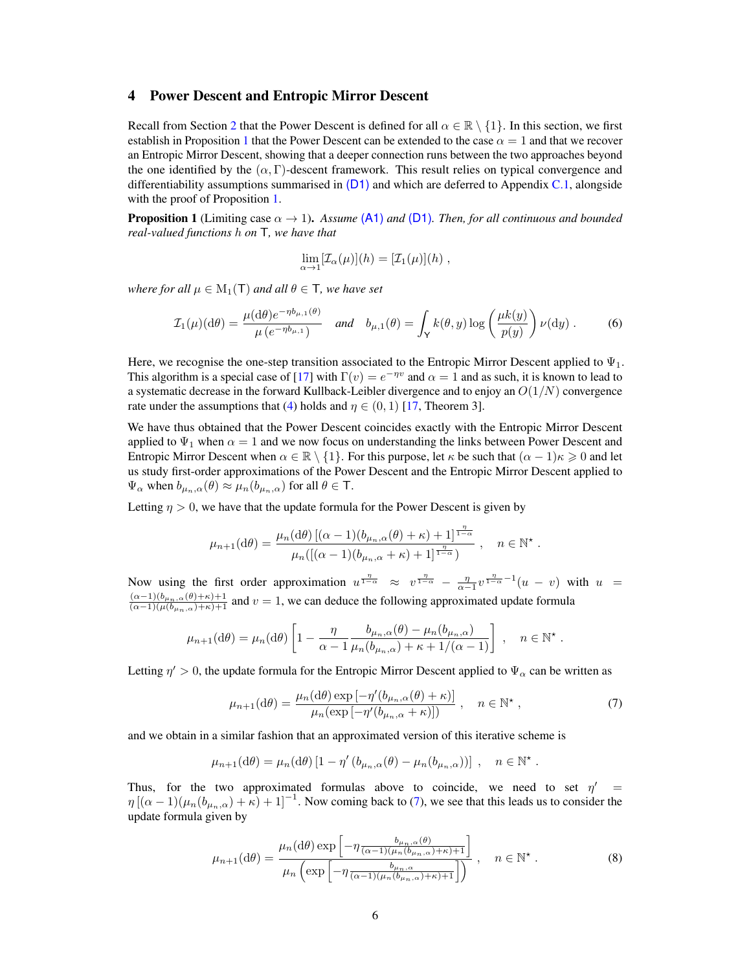### <span id="page-5-0"></span>4 Power Descent and Entropic Mirror Descent

Recall from Section [2](#page-1-0) that the Power Descent is defined for all  $\alpha \in \mathbb{R} \setminus \{1\}$ . In this section, we first establish in Proposition [1](#page-5-1) that the Power Descent can be extended to the case  $\alpha = 1$  and that we recover an Entropic Mirror Descent, showing that a deeper connection runs between the two approaches beyond the one identified by the  $(\alpha, \Gamma)$ -descent framework. This result relies on typical convergence and differentiability assumptions summarised in  $(D1)$  and which are deferred to Appendix [C.1,](#page-15-2) alongside with the proof of Proposition [1.](#page-5-1)

<span id="page-5-1"></span>**Proposition 1** (Limiting case  $\alpha \to 1$ ). *Assume* [\(A1\)](#page-2-3) *and* [\(D1\)](#page-16-0)*. Then, for all continuous and bounded real-valued functions* h *on* T*, we have that*

$$
\lim_{\alpha \to 1} [\mathcal{I}_{\alpha}(\mu)](h) = [\mathcal{I}_{1}(\mu)](h) ,
$$

*where for all*  $\mu \in M_1(T)$  *and all*  $\theta \in T$ *, we have set* 

$$
\mathcal{I}_1(\mu)(d\theta) = \frac{\mu(d\theta)e^{-\eta b_{\mu,1}(\theta)}}{\mu(e^{-\eta b_{\mu,1}})} \quad \text{and} \quad b_{\mu,1}(\theta) = \int_{\mathsf{Y}} k(\theta, y) \log\left(\frac{\mu k(y)}{p(y)}\right) \nu(\mathrm{d}y) \,. \tag{6}
$$

Here, we recognise the one-step transition associated to the Entropic Mirror Descent applied to  $\Psi_1$ . This algorithm is a special case of [\[17\]](#page-10-7) with  $\Gamma(v) = e^{-\eta v}$  and  $\alpha = 1$  and as such, it is known to lead to a systematic decrease in the forward Kullback-Leibler divergence and to enjoy an  $O(1/N)$  convergence rate under the assumptions that [\(4\)](#page-3-3) holds and  $\eta \in (0,1)$  [\[17,](#page-10-7) Theorem 3].

We have thus obtained that the Power Descent coincides exactly with the Entropic Mirror Descent applied to  $\Psi_1$  when  $\alpha = 1$  and we now focus on understanding the links between Power Descent and Entropic Mirror Descent when  $\alpha \in \mathbb{R} \setminus \{1\}$ . For this purpose, let  $\kappa$  be such that  $(\alpha - 1)\kappa \geq 0$  and let us study first-order approximations of the Power Descent and the Entropic Mirror Descent applied to  $\Psi_{\alpha}$  when  $b_{\mu_n,\alpha}(\theta) \approx \mu_n(b_{\mu_n,\alpha})$  for all  $\theta \in \mathsf{T}$ .

Letting  $\eta > 0$ , we have that the update formula for the Power Descent is given by

$$
\mu_{n+1}(\mathrm{d}\theta) = \frac{\mu_n(\mathrm{d}\theta) \left[ (\alpha - 1)(b_{\mu_n,\alpha}(\theta) + \kappa) + 1 \right]^{\frac{\eta}{1-\alpha}}}{\mu_n(\left[ (\alpha - 1)(b_{\mu_n,\alpha} + \kappa) + 1 \right]^{\frac{\eta}{1-\alpha}})}, \quad n \in \mathbb{N}^*.
$$

Now using the first order approximation  $u^{\frac{\eta}{1-\alpha}} \approx v^{\frac{\eta}{1-\alpha}} - \frac{\eta}{\alpha-1}v^{\frac{\eta}{1-\alpha}-1}(u-v)$  with  $u =$  $\frac{(\alpha-1)(b_{\mu_n,\alpha}(\theta)+\kappa)+1}{(\alpha-1)(\mu(b_{\mu_n,\alpha})+\kappa)+1}$  and  $v=1$ , we can deduce the following approximated update formula

$$
\mu_{n+1}(\mathrm{d}\theta) = \mu_n(\mathrm{d}\theta) \left[ 1 - \frac{\eta}{\alpha - 1} \frac{b_{\mu_n,\alpha}(\theta) - \mu_n(b_{\mu_n,\alpha})}{\mu_n(b_{\mu_n,\alpha}) + \kappa + 1/(\alpha - 1)} \right], \quad n \in \mathbb{N}^\star
$$

Letting  $\eta' > 0$ , the update formula for the Entropic Mirror Descent applied to  $\Psi_{\alpha}$  can be written as

$$
\mu_{n+1}(\mathrm{d}\theta) = \frac{\mu_n(\mathrm{d}\theta)\exp\left[-\eta'(b_{\mu_n,\alpha}(\theta)+\kappa)\right]}{\mu_n(\exp\left[-\eta'(b_{\mu_n,\alpha}+\kappa)\right])}, \quad n \in \mathbb{N}^\star,
$$
\n(7)

<span id="page-5-3"></span><span id="page-5-2"></span>.

and we obtain in a similar fashion that an approximated version of this iterative scheme is

$$
\mu_{n+1}(\mathrm{d}\theta) = \mu_n(\mathrm{d}\theta) \left[1 - \eta' \left(b_{\mu_n,\alpha}(\theta) - \mu_n(b_{\mu_n,\alpha})\right)\right] , \quad n \in \mathbb{N}^* .
$$

Thus, for the two approximated formulas above to coincide, we need to set  $\eta'$  =  $\eta$  [( $\alpha - 1$ )( $\mu_n(b_{\mu_n,\alpha}) + \kappa$ ) + 1]<sup>-1</sup>. Now coming back to [\(7\)](#page-5-2), we see that this leads us to consider the update formula given by

$$
\mu_{n+1}(\mathrm{d}\theta) = \frac{\mu_n(\mathrm{d}\theta)\exp\left[-\eta \frac{b_{\mu_n,\alpha}(\theta)}{(\alpha-1)(\mu_n(b_{\mu_n,\alpha})+\kappa)+1}\right]}{\mu_n\left(\exp\left[-\eta \frac{b_{\mu_n,\alpha}}{(\alpha-1)(\mu_n(b_{\mu_n,\alpha})+\kappa)+1}\right]\right)}, \quad n \in \mathbb{N}^\star. \tag{8}
$$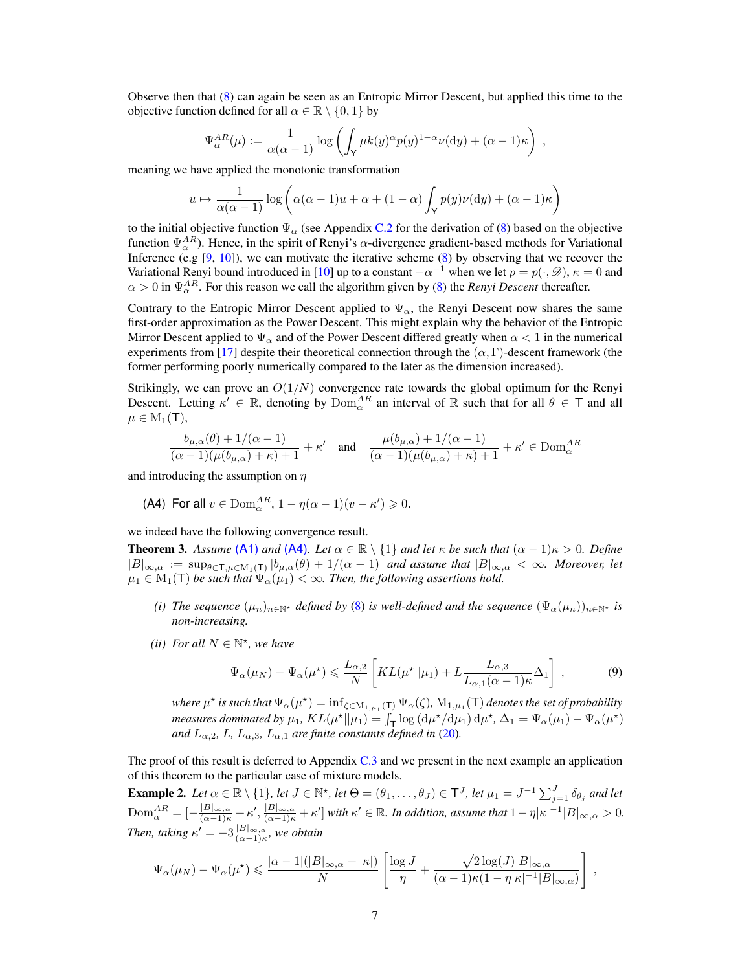Observe then that [\(8\)](#page-5-3) can again be seen as an Entropic Mirror Descent, but applied this time to the objective function defined for all  $\alpha \in \mathbb{R} \setminus \{0, 1\}$  by

$$
\Psi_{\alpha}^{AR}(\mu) := \frac{1}{\alpha(\alpha-1)} \log \left( \int_{\mathsf{Y}} \mu k(y)^{\alpha} p(y)^{1-\alpha} \nu(\mathrm{d}y) + (\alpha-1)\kappa \right) ,
$$

meaning we have applied the monotonic transformation

$$
u \mapsto \frac{1}{\alpha(\alpha-1)} \log \left( \alpha(\alpha-1)u + \alpha + (1-\alpha) \int_{\mathsf{Y}} p(y) \nu(\mathrm{d}y) + (\alpha-1)\kappa \right)
$$

to the initial objective function  $\Psi_{\alpha}$  (see Appendix [C.2](#page-16-1) for the derivation of [\(8\)](#page-5-3) based on the objective function  $\Psi_{\alpha}^{AR}$ ). Hence, in the spirit of Renyi's  $\alpha$ -divergence gradient-based methods for Variational Inference (e.g  $[9, 10]$  $[9, 10]$  $[9, 10]$ ), we can motivate the iterative scheme  $(8)$  by observing that we recover the Variational Renyi bound introduced in [\[10\]](#page-10-0) up to a constant  $-\alpha^{-1}$  when we let  $p = p(\cdot, \mathscr{D})$ ,  $\kappa = 0$  and  $\alpha > 0$  in  $\Psi_{\alpha}^{AR}$ . For this reason we call the algorithm given by [\(8\)](#page-5-3) the *Renyi Descent* thereafter.

Contrary to the Entropic Mirror Descent applied to  $\Psi_{\alpha}$ , the Renyi Descent now shares the same first-order approximation as the Power Descent. This might explain why the behavior of the Entropic Mirror Descent applied to  $\Psi_\alpha$  and of the Power Descent differed greatly when  $\alpha < 1$  in the numerical experiments from [\[17\]](#page-10-7) despite their theoretical connection through the  $(\alpha, \Gamma)$ -descent framework (the former performing poorly numerically compared to the later as the dimension increased).

Strikingly, we can prove an  $O(1/N)$  convergence rate towards the global optimum for the Renyi Descent. Letting  $\kappa' \in \mathbb{R}$ , denoting by  $\text{Dom}_{\alpha}^{AR}$  an interval of  $\mathbb{R}$  such that for all  $\theta \in \mathsf{T}$  and all  $\mu \in M_1(T)$ ,

$$
\frac{b_{\mu,\alpha}(\theta)+1/(\alpha-1)}{(\alpha-1)(\mu(b_{\mu,\alpha})+\kappa)+1}+\kappa' \quad \text{and} \quad \frac{\mu(b_{\mu,\alpha})+1/(\alpha-1)}{(\alpha-1)(\mu(b_{\mu,\alpha})+\kappa)+1}+\kappa' \in \mathrm{Dom}^{AR}_\alpha
$$

and introducing the assumption on  $\eta$ 

<span id="page-6-1"></span>(A4) For all 
$$
v \in \text{Dom}_{\alpha}^{AR}
$$
,  $1 - \eta(\alpha - 1)(v - \kappa') \ge 0$ .

we indeed have the following convergence result.

<span id="page-6-0"></span>**Theorem 3.** Assume [\(A1\)](#page-2-3) and [\(A4\)](#page-6-1). Let  $\alpha \in \mathbb{R} \setminus \{1\}$  and let  $\kappa$  be such that  $(\alpha - 1)\kappa > 0$ . Define  $|B|_{\infty,\alpha} := \sup_{\theta \in \mathsf{T}, \mu \in \mathcal{M}_1(\mathsf{T})} |b_{\mu,\alpha}(\theta) + 1/(\alpha - 1)|$  and assume that  $|B|_{\infty,\alpha} < \infty$ *. Moreover, let*  $\mu_1 \in M_1(\mathsf{T})$  *be such that*  $\Psi_\alpha(\mu_1) < \infty$ *. Then, the following assertions hold.* 

- <span id="page-6-2"></span>*(i) The sequence*  $(\mu_n)_{n \in \mathbb{N}^*}$  *defined by* [\(8\)](#page-5-3) *is well-defined and the sequence*  $(\Psi_\alpha(\mu_n))_{n \in \mathbb{N}^*}$  *is non-increasing.*
- *(ii) For all*  $N \in \mathbb{N}^*$ *, we have*

<span id="page-6-3"></span>
$$
\Psi_{\alpha}(\mu_N) - \Psi_{\alpha}(\mu^*) \leqslant \frac{L_{\alpha,2}}{N} \left[ KL(\mu^* || \mu_1) + L \frac{L_{\alpha,3}}{L_{\alpha,1}(\alpha - 1)\kappa} \Delta_1 \right] , \tag{9}
$$

where  $\mu^\star$  is such that  $\Psi_\alpha(\mu^\star) = \inf_{\zeta \in \mathrm{M}_{1,\mu_1}(\mathsf{T})} \Psi_\alpha(\zeta)$ ,  $\mathrm{M}_{1,\mu_1}(\mathsf{T})$  denotes the set of probability *measures dominated by*  $\mu_1$ ,  $KL(\mu^*||\mu_1) = \int_{\mathsf{T}} \log \left(\frac{d\mu^*}{d\mu_1}\right) d\mu^*, \Delta_1 = \Psi_\alpha(\mu_1) - \Psi_\alpha(\mu^*)$ *and*  $L_{\alpha,2}$ ,  $L$ ,  $L_{\alpha,3}$ ,  $L_{\alpha,1}$  *are finite constants defined in* [\(20\)](#page-17-0)*.* 

The proof of this result is deferred to Appendix [C.3](#page-17-1) and we present in the next example an application of this theorem to the particular case of mixture models.

**Example 2.** Let  $\alpha \in \mathbb{R} \setminus \{1\}$ , let  $J \in \mathbb{N}^{\star}$ , let  $\Theta = (\theta_1, \ldots, \theta_J) \in \mathsf{T}^J$ , let  $\mu_1 = J^{-1} \sum_{j=1}^J \delta_{\theta_j}$  and let  $\text{Dom}_{\alpha}^{AR} = \left[-\frac{|B|_{\infty,\alpha}}{(\alpha-1)\kappa} + \kappa', \frac{|B|_{\infty,\alpha}}{(\alpha-1)\kappa} + \kappa'\right]$  with  $\kappa' \in \mathbb{R}$ . In addition, assume that  $1 - \eta |\kappa|^{-1} |B|_{\infty,\alpha} > 0$ . *Then, taking*  $\kappa' = -3 \frac{|B|_{\infty,\alpha}}{(\alpha-1)\kappa}$ *, we obtain* 

$$
\Psi_{\alpha}(\mu_N) - \Psi_{\alpha}(\mu^*) \leq \frac{|\alpha - 1|(|B|_{\infty,\alpha} + |\kappa|)}{N} \left[ \frac{\log J}{\eta} + \frac{\sqrt{2\log(J)}|B|_{\infty,\alpha}}{(\alpha - 1)\kappa(1 - \eta|\kappa|^{-1}|B|_{\infty,\alpha})} \right],
$$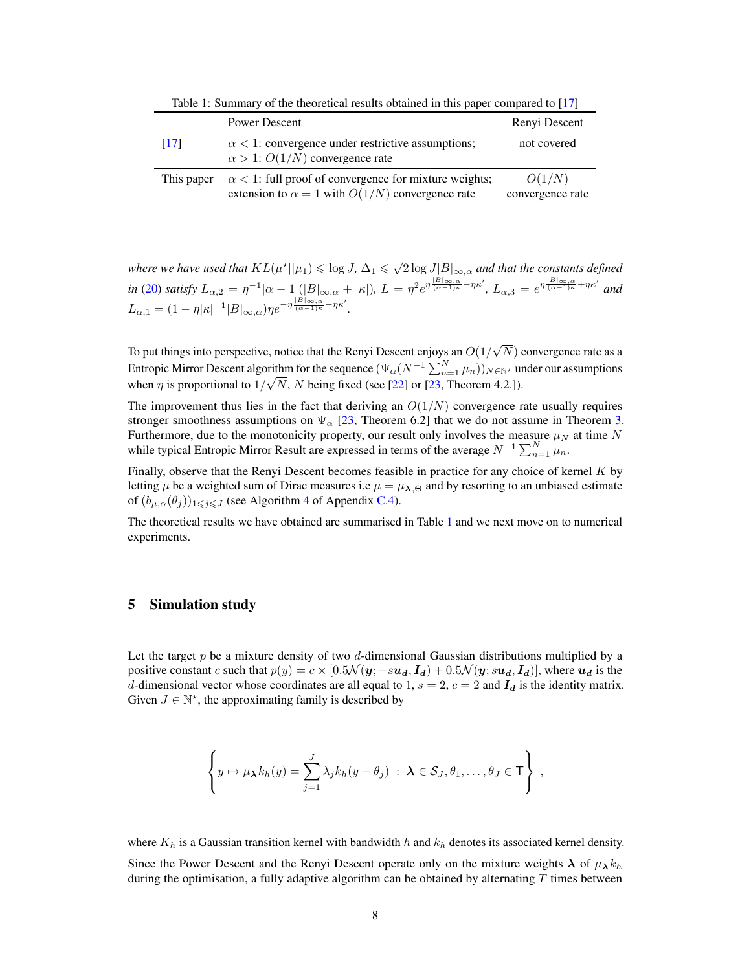Table 1: Summary of the theoretical results obtained in this paper compared to [\[17\]](#page-10-7)

<span id="page-7-1"></span>

|            | Power Descent                                                                                                            | Renyi Descent              |
|------------|--------------------------------------------------------------------------------------------------------------------------|----------------------------|
| [17]       | $\alpha$ < 1: convergence under restrictive assumptions;<br>$\alpha > 1$ : $O(1/N)$ convergence rate                     | not covered                |
| This paper | $\alpha$ < 1: full proof of convergence for mixture weights;<br>extension to $\alpha = 1$ with $O(1/N)$ convergence rate | O(1/N)<br>convergence rate |

where we have used that  $KL(\mu^{\star}||\mu_1) \leqslant \log J$ ,  $\Delta_1 \leqslant \sqrt{2\log J} |B|_{\infty,\alpha}$  and that the constants defined *in* [\(20\)](#page-17-0) *satisfy*  $L_{\alpha,2} = \eta^{-1}|\alpha - 1|(|B|_{\infty,\alpha} + |\kappa|)$ ,  $L = \eta^2 e^{\eta \frac{|B|_{\infty,\alpha}}{(\alpha - 1)\kappa} - \eta \kappa'}$ ,  $L_{\alpha,3} = e^{\eta \frac{|B|_{\infty,\alpha}}{(\alpha - 1)\kappa} + \eta \kappa'}$  and  $L_{\alpha,1} = (1 - \eta |\kappa|^{-1} |B|_{\infty,\alpha}) \eta e^{-\eta \frac{|B|_{\infty,\alpha}}{(\alpha - 1)\kappa} - \eta \kappa'}.$ 

To put things into perspective, notice that the Renyi Descent enjoys an  $O(1/$ √  $N$ ) convergence rate as a Entropic Mirror Descent algorithm for the sequence  $(\Psi_{\alpha}(N^{-1}\sum_{n=1}^{N}\mu_n))_{N\in\mathbb{N}^*}$  under our assumptions when  $\eta$  is proportional to  $1/\sqrt{N}$ , N being fixed (see [\[22\]](#page-10-12) or [\[23,](#page-10-13) Theorem 4.2.]).

The improvement thus lies in the fact that deriving an  $O(1/N)$  convergence rate usually requires stronger smoothness assumptions on  $\Psi_{\alpha}$  [\[23,](#page-10-13) Theorem 6.2] that we do not assume in Theorem [3.](#page-6-0) Furthermore, due to the monotonicity property, our result only involves the measure  $\mu<sub>N</sub>$  at time N while typical Entropic Mirror Result are expressed in terms of the average  $N^{-1} \sum_{n=1}^{N} \mu_n$ .

Finally, observe that the Renyi Descent becomes feasible in practice for any choice of kernel K by letting  $\mu$  be a weighted sum of Dirac measures i.e  $\mu = \mu_{\lambda,\Theta}$  and by resorting to an unbiased estimate of  $(b_{\mu,\alpha}(\theta_i))_{1\leq i\leq J}$  (see Algorithm [4](#page-21-0) of Appendix [C.4\)](#page-20-0).

The theoretical results we have obtained are summarised in Table [1](#page-7-1) and we next move on to numerical experiments.

# <span id="page-7-0"></span>5 Simulation study

Let the target p be a mixture density of two d-dimensional Gaussian distributions multiplied by a positive constant c such that  $p(y) = c \times [0.5\mathcal{N}(y; -s\mathbf{u}_d, \mathbf{I}_d) + 0.5\mathcal{N}(y; s\mathbf{u}_d, \mathbf{I}_d)]$ , where  $\mathbf{u}_d$  is the d-dimensional vector whose coordinates are all equal to 1,  $s = 2$ ,  $c = 2$  and  $I_d$  is the identity matrix. Given  $J \in \mathbb{N}^*$ , the approximating family is described by

$$
\left\{y\mapsto \mu_{\boldsymbol{\lambda}}k_h(y)=\sum_{j=1}^J\lambda_jk_h(y-\theta_j)\;:\;\boldsymbol{\lambda}\in\mathcal{S}_J,\theta_1,\ldots,\theta_J\in\mathsf{T}\right\}\;,
$$

where  $K_h$  is a Gaussian transition kernel with bandwidth h and  $k_h$  denotes its associated kernel density.

Since the Power Descent and the Renyi Descent operate only on the mixture weights  $\lambda$  of  $\mu_{\lambda} k_h$ during the optimisation, a fully adaptive algorithm can be obtained by alternating  $T$  times between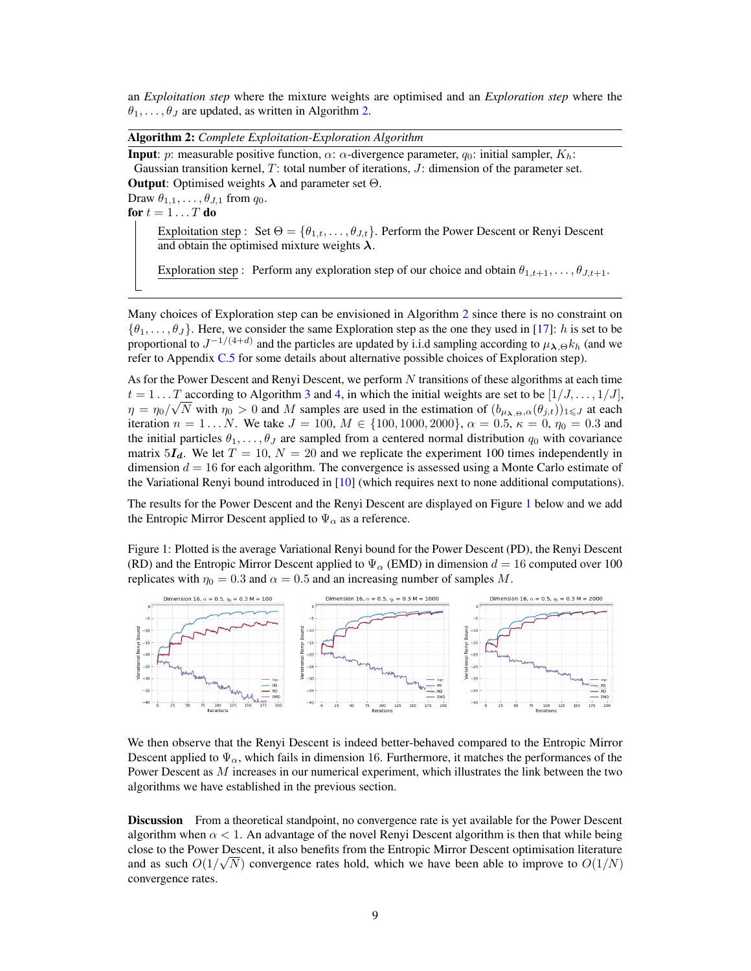an *Exploitation step* where the mixture weights are optimised and an *Exploration step* where the  $\theta_1, \ldots, \theta_J$  are updated, as written in Algorithm [2.](#page-8-0)

Algorithm 2: *Complete Exploitation-Exploration Algorithm*

<span id="page-8-0"></span>**Input**: p: measurable positive function,  $\alpha$ :  $\alpha$ -divergence parameter,  $q_0$ : initial sampler,  $K_h$ : Gaussian transition kernel, T: total number of iterations, J: dimension of the parameter set. **Output:** Optimised weights  $\lambda$  and parameter set  $\Theta$ .

Draw  $\theta_{1,1}, \ldots, \theta_{J,1}$  from  $q_0$ .

for  $t = 1 \ldots T$  do

Exploitation step : Set  $\Theta = {\theta_{1,t}, \ldots, \theta_{J,t}}$ . Perform the Power Descent or Renyi Descent and obtain the optimised mixture weights  $\lambda$ .

Exploration step : Perform any exploration step of our choice and obtain  $\theta_{1,t+1}, \dots, \theta_{J,t+1}$ .

Many choices of Exploration step can be envisioned in Algorithm [2](#page-8-0) since there is no constraint on  $\{\theta_1,\ldots,\theta_J\}$ . Here, we consider the same Exploration step as the one they used in [\[17\]](#page-10-7): h is set to be proportional to  $J^{-1/(4+d)}$  and the particles are updated by i.i.d sampling according to  $\mu_{\lambda,\Theta} k_h$  (and we refer to Appendix [C.5](#page-20-1) for some details about alternative possible choices of Exploration step).

As for the Power Descent and Renyi Descent, we perform  $N$  transitions of these algorithms at each time  $t = 1 \dots T$  according to Algorithm [3](#page-15-0) and [4,](#page-21-0) in which the initial weights are set to be  $[1/J, \dots, 1/J]$ ,  $\eta = \eta_0 / \sqrt{N}$  with  $\eta_0 > 0$  and M samples are used in the estimation of  $(b_{\mu_{\lambda},\Theta,\alpha}(\theta_{j,t}))_{1 \leq J}$  at each iteration  $n = 1...N$ . We take  $J = 100$ ,  $M \in \{100, 1000, 2000\}$ ,  $\alpha = 0.5$ ,  $\kappa = 0$ ,  $\eta_0 = 0.3$  and the initial particles  $\theta_1, \ldots, \theta_J$  are sampled from a centered normal distribution  $q_0$  with covariance matrix  $5I<sub>d</sub>$ . We let  $T = 10$ ,  $N = 20$  and we replicate the experiment 100 times independently in dimension  $d = 16$  for each algorithm. The convergence is assessed using a Monte Carlo estimate of the Variational Renyi bound introduced in [\[10\]](#page-10-0) (which requires next to none additional computations).

The results for the Power Descent and the Renyi Descent are displayed on Figure [1](#page-8-1) below and we add the Entropic Mirror Descent applied to  $\Psi_{\alpha}$  as a reference.

<span id="page-8-1"></span>Figure 1: Plotted is the average Variational Renyi bound for the Power Descent (PD), the Renyi Descent (RD) and the Entropic Mirror Descent applied to  $\Psi_{\alpha}$  (EMD) in dimension  $d = 16$  computed over 100 replicates with  $\eta_0 = 0.3$  and  $\alpha = 0.5$  and an increasing number of samples M.



We then observe that the Renyi Descent is indeed better-behaved compared to the Entropic Mirror Descent applied to  $\Psi_{\alpha}$ , which fails in dimension 16. Furthermore, it matches the performances of the Power Descent as M increases in our numerical experiment, which illustrates the link between the two algorithms we have established in the previous section.

Discussion From a theoretical standpoint, no convergence rate is yet available for the Power Descent algorithm when  $\alpha < 1$ . An advantage of the novel Renyi Descent algorithm is then that while being close to the Power Descent, it also benefits from the Entropic Mirror Descent optimisation literature and as such  $O(1/\sqrt{N})$  convergence rates hold, which we have been able to improve to  $O(1/N)$ convergence rates.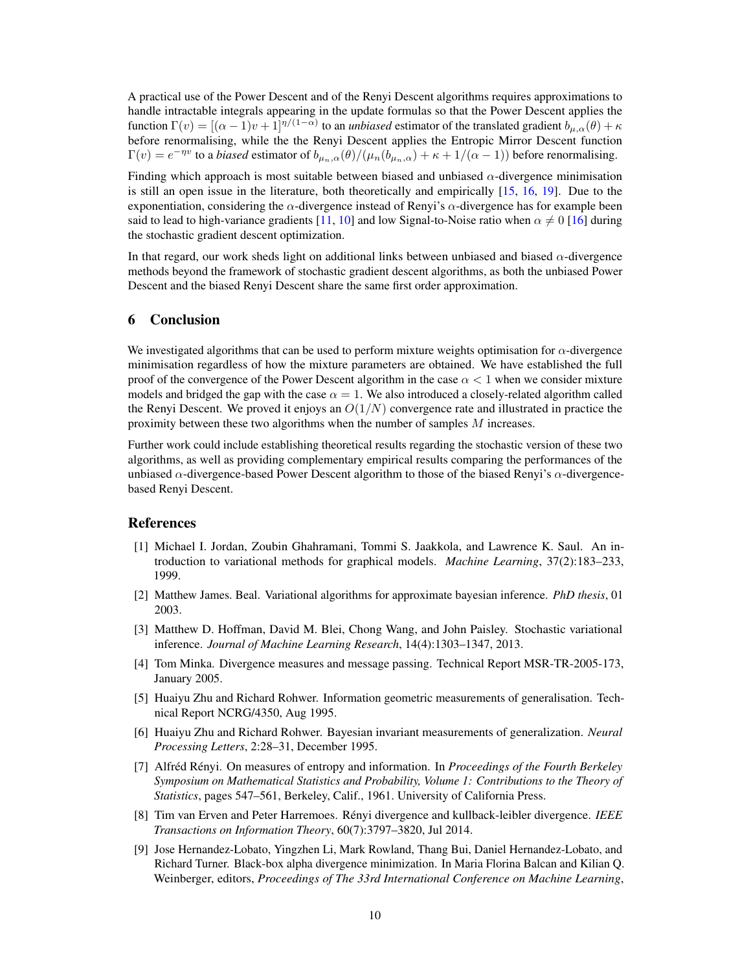A practical use of the Power Descent and of the Renyi Descent algorithms requires approximations to handle intractable integrals appearing in the update formulas so that the Power Descent applies the function  $\Gamma(v) = [(\alpha - 1)v + 1]^{\eta/(1-\alpha)}$  to an *unbiased* estimator of the translated gradient  $b_{\mu,\alpha}(\theta) + \kappa$ before renormalising, while the the Renyi Descent applies the Entropic Mirror Descent function  $\Gamma(v) = e^{-\eta v}$  to a *biased* estimator of  $b_{\mu_n,\alpha}(\theta)/(\mu_n(b_{\mu_n,\alpha}) + \kappa + 1/(\alpha - 1))$  before renormalising.

Finding which approach is most suitable between biased and unbiased  $\alpha$ -divergence minimisation is still an open issue in the literature, both theoretically and empirically [\[15,](#page-10-5) [16,](#page-10-6) [19\]](#page-10-9). Due to the exponentiation, considering the  $\alpha$ -divergence instead of Renyi's  $\alpha$ -divergence has for example been said to lead to high-variance gradients [\[11,](#page-10-1) [10\]](#page-10-0) and low Signal-to-Noise ratio when  $\alpha \neq 0$  [\[16\]](#page-10-6) during the stochastic gradient descent optimization.

In that regard, our work sheds light on additional links between unbiased and biased  $\alpha$ -divergence methods beyond the framework of stochastic gradient descent algorithms, as both the unbiased Power Descent and the biased Renyi Descent share the same first order approximation.

# 6 Conclusion

We investigated algorithms that can be used to perform mixture weights optimisation for  $\alpha$ -divergence minimisation regardless of how the mixture parameters are obtained. We have established the full proof of the convergence of the Power Descent algorithm in the case  $\alpha < 1$  when we consider mixture models and bridged the gap with the case  $\alpha = 1$ . We also introduced a closely-related algorithm called the Renyi Descent. We proved it enjoys an  $O(1/N)$  convergence rate and illustrated in practice the proximity between these two algorithms when the number of samples  $M$  increases.

Further work could include establishing theoretical results regarding the stochastic version of these two algorithms, as well as providing complementary empirical results comparing the performances of the unbiased  $\alpha$ -divergence-based Power Descent algorithm to those of the biased Renyi's  $\alpha$ -divergencebased Renyi Descent.

#### References

- <span id="page-9-0"></span>[1] Michael I. Jordan, Zoubin Ghahramani, Tommi S. Jaakkola, and Lawrence K. Saul. An introduction to variational methods for graphical models. *Machine Learning*, 37(2):183–233, 1999.
- <span id="page-9-1"></span>[2] Matthew James. Beal. Variational algorithms for approximate bayesian inference. *PhD thesis*, 01 2003.
- <span id="page-9-2"></span>[3] Matthew D. Hoffman, David M. Blei, Chong Wang, and John Paisley. Stochastic variational inference. *Journal of Machine Learning Research*, 14(4):1303–1347, 2013.
- <span id="page-9-3"></span>[4] Tom Minka. Divergence measures and message passing. Technical Report MSR-TR-2005-173, January 2005.
- <span id="page-9-4"></span>[5] Huaiyu Zhu and Richard Rohwer. Information geometric measurements of generalisation. Technical Report NCRG/4350, Aug 1995.
- <span id="page-9-5"></span>[6] Huaiyu Zhu and Richard Rohwer. Bayesian invariant measurements of generalization. *Neural Processing Letters*, 2:28–31, December 1995.
- <span id="page-9-6"></span>[7] Alfréd Rényi. On measures of entropy and information. In *Proceedings of the Fourth Berkeley Symposium on Mathematical Statistics and Probability, Volume 1: Contributions to the Theory of Statistics*, pages 547–561, Berkeley, Calif., 1961. University of California Press.
- <span id="page-9-7"></span>[8] Tim van Erven and Peter Harremoes. Rényi divergence and kullback-leibler divergence. *IEEE Transactions on Information Theory*, 60(7):3797–3820, Jul 2014.
- <span id="page-9-8"></span>[9] Jose Hernandez-Lobato, Yingzhen Li, Mark Rowland, Thang Bui, Daniel Hernandez-Lobato, and Richard Turner. Black-box alpha divergence minimization. In Maria Florina Balcan and Kilian Q. Weinberger, editors, *Proceedings of The 33rd International Conference on Machine Learning*,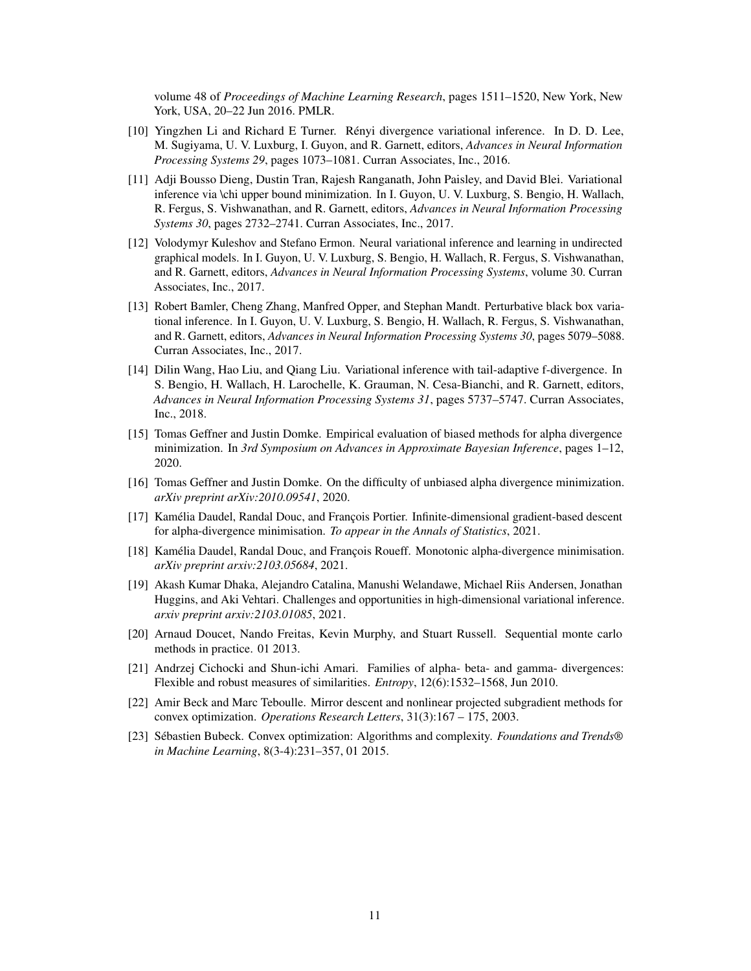volume 48 of *Proceedings of Machine Learning Research*, pages 1511–1520, New York, New York, USA, 20–22 Jun 2016. PMLR.

- <span id="page-10-0"></span>[10] Yingzhen Li and Richard E Turner. Rényi divergence variational inference. In D. D. Lee, M. Sugiyama, U. V. Luxburg, I. Guyon, and R. Garnett, editors, *Advances in Neural Information Processing Systems 29*, pages 1073–1081. Curran Associates, Inc., 2016.
- <span id="page-10-1"></span>[11] Adji Bousso Dieng, Dustin Tran, Rajesh Ranganath, John Paisley, and David Blei. Variational inference via \chi upper bound minimization. In I. Guyon, U. V. Luxburg, S. Bengio, H. Wallach, R. Fergus, S. Vishwanathan, and R. Garnett, editors, *Advances in Neural Information Processing Systems 30*, pages 2732–2741. Curran Associates, Inc., 2017.
- <span id="page-10-2"></span>[12] Volodymyr Kuleshov and Stefano Ermon. Neural variational inference and learning in undirected graphical models. In I. Guyon, U. V. Luxburg, S. Bengio, H. Wallach, R. Fergus, S. Vishwanathan, and R. Garnett, editors, *Advances in Neural Information Processing Systems*, volume 30. Curran Associates, Inc., 2017.
- <span id="page-10-3"></span>[13] Robert Bamler, Cheng Zhang, Manfred Opper, and Stephan Mandt. Perturbative black box variational inference. In I. Guyon, U. V. Luxburg, S. Bengio, H. Wallach, R. Fergus, S. Vishwanathan, and R. Garnett, editors, *Advances in Neural Information Processing Systems 30*, pages 5079–5088. Curran Associates, Inc., 2017.
- <span id="page-10-4"></span>[14] Dilin Wang, Hao Liu, and Qiang Liu. Variational inference with tail-adaptive f-divergence. In S. Bengio, H. Wallach, H. Larochelle, K. Grauman, N. Cesa-Bianchi, and R. Garnett, editors, *Advances in Neural Information Processing Systems 31*, pages 5737–5747. Curran Associates, Inc., 2018.
- <span id="page-10-5"></span>[15] Tomas Geffner and Justin Domke. Empirical evaluation of biased methods for alpha divergence minimization. In *3rd Symposium on Advances in Approximate Bayesian Inference*, pages 1–12, 2020.
- <span id="page-10-6"></span>[16] Tomas Geffner and Justin Domke. On the difficulty of unbiased alpha divergence minimization. *arXiv preprint arXiv:2010.09541*, 2020.
- <span id="page-10-7"></span>[17] Kamélia Daudel, Randal Douc, and François Portier. Infinite-dimensional gradient-based descent for alpha-divergence minimisation. *To appear in the Annals of Statistics*, 2021.
- <span id="page-10-8"></span>[18] Kamélia Daudel, Randal Douc, and François Roueff. Monotonic alpha-divergence minimisation. *arXiv preprint arxiv:2103.05684*, 2021.
- <span id="page-10-9"></span>[19] Akash Kumar Dhaka, Alejandro Catalina, Manushi Welandawe, Michael Riis Andersen, Jonathan Huggins, and Aki Vehtari. Challenges and opportunities in high-dimensional variational inference. *arxiv preprint arxiv:2103.01085*, 2021.
- <span id="page-10-10"></span>[20] Arnaud Doucet, Nando Freitas, Kevin Murphy, and Stuart Russell. Sequential monte carlo methods in practice. 01 2013.
- <span id="page-10-11"></span>[21] Andrzej Cichocki and Shun-ichi Amari. Families of alpha- beta- and gamma- divergences: Flexible and robust measures of similarities. *Entropy*, 12(6):1532–1568, Jun 2010.
- <span id="page-10-12"></span>[22] Amir Beck and Marc Teboulle. Mirror descent and nonlinear projected subgradient methods for convex optimization. *Operations Research Letters*, 31(3):167 – 175, 2003.
- <span id="page-10-13"></span>[23] Sébastien Bubeck. Convex optimization: Algorithms and complexity. *Foundations and Trends® in Machine Learning*, 8(3-4):231–357, 01 2015.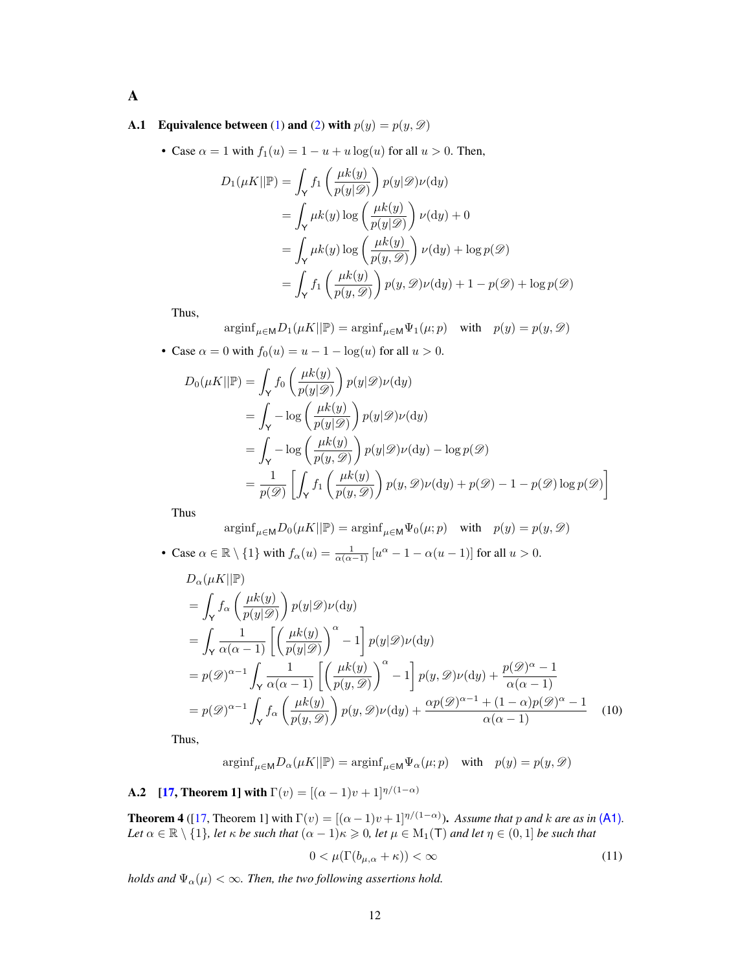A

## <span id="page-11-0"></span>**A.1** Equivalence between [\(1\)](#page-2-0) and [\(2\)](#page-2-1) with  $p(y) = p(y, \mathcal{D})$

• Case  $\alpha = 1$  with  $f_1(u) = 1 - u + u \log(u)$  for all  $u > 0$ . Then,

$$
D_1(\mu K || \mathbb{P}) = \int_Y f_1 \left( \frac{\mu k(y)}{p(y|\mathcal{D})} \right) p(y|\mathcal{D}) \nu(\mathrm{d}y)
$$
  
= 
$$
\int_Y \mu k(y) \log \left( \frac{\mu k(y)}{p(y|\mathcal{D})} \right) \nu(\mathrm{d}y) + 0
$$
  
= 
$$
\int_Y \mu k(y) \log \left( \frac{\mu k(y)}{p(y,\mathcal{D})} \right) \nu(\mathrm{d}y) + \log p(\mathcal{D})
$$
  
= 
$$
\int_Y f_1 \left( \frac{\mu k(y)}{p(y,\mathcal{D})} \right) p(y,\mathcal{D}) \nu(\mathrm{d}y) + 1 - p(\mathcal{D}) + \log p(\mathcal{D})
$$

Thus,

$$
\text{arginf}_{\mu \in \mathsf{M}} D_1(\mu K || \mathbb{P}) = \text{arginf}_{\mu \in \mathsf{M}} \Psi_1(\mu; p) \quad \text{with} \quad p(y) = p(y, \mathcal{D})
$$

• Case  $\alpha = 0$  with  $f_0(u) = u - 1 - \log(u)$  for all  $u > 0$ .

$$
D_0(\mu K || \mathbb{P}) = \int_Y f_0 \left( \frac{\mu k(y)}{p(y|\mathcal{D})} \right) p(y|\mathcal{D}) \nu(\mathrm{d}y)
$$
  
= 
$$
\int_Y -\log \left( \frac{\mu k(y)}{p(y|\mathcal{D})} \right) p(y|\mathcal{D}) \nu(\mathrm{d}y)
$$
  
= 
$$
\int_Y -\log \left( \frac{\mu k(y)}{p(y,\mathcal{D})} \right) p(y|\mathcal{D}) \nu(\mathrm{d}y) - \log p(\mathcal{D})
$$
  
= 
$$
\frac{1}{p(\mathcal{D})} \left[ \int_Y f_1 \left( \frac{\mu k(y)}{p(y,\mathcal{D})} \right) p(y,\mathcal{D}) \nu(\mathrm{d}y) + p(\mathcal{D}) - 1 - p(\mathcal{D}) \log p(\mathcal{D}) \right]
$$

Thus

$$
\operatorname{arginf}_{\mu \in \mathsf{M}} D_0(\mu K || \mathbb{P}) = \operatorname{arginf}_{\mu \in \mathsf{M}} \Psi_0(\mu; p) \quad \text{with} \quad p(y) = p(y, \mathcal{D})
$$

• Case  $\alpha \in \mathbb{R} \setminus \{1\}$  with  $f_{\alpha}(u) = \frac{1}{\alpha(\alpha-1)} [u^{\alpha} - 1 - \alpha(u-1)]$  for all  $u > 0$ .

$$
D_{\alpha}(\mu K || \mathbb{P})
$$
  
=  $\int_{\mathsf{Y}} f_{\alpha} \left( \frac{\mu k(y)}{p(y|\mathscr{D})} \right) p(y|\mathscr{D}) \nu(\mathrm{d}y)$   
=  $\int_{\mathsf{Y}} \frac{1}{\alpha(\alpha - 1)} \left[ \left( \frac{\mu k(y)}{p(y|\mathscr{D})} \right)^{\alpha} - 1 \right] p(y|\mathscr{D}) \nu(\mathrm{d}y)$   
=  $p(\mathscr{D})^{\alpha - 1} \int_{\mathsf{Y}} \frac{1}{\alpha(\alpha - 1)} \left[ \left( \frac{\mu k(y)}{p(y,\mathscr{D})} \right)^{\alpha} - 1 \right] p(y,\mathscr{D}) \nu(\mathrm{d}y) + \frac{p(\mathscr{D})^{\alpha} - 1}{\alpha(\alpha - 1)}$   
=  $p(\mathscr{D})^{\alpha - 1} \int_{\mathsf{Y}} f_{\alpha} \left( \frac{\mu k(y)}{p(y,\mathscr{D})} \right) p(y,\mathscr{D}) \nu(\mathrm{d}y) + \frac{\alpha p(\mathscr{D})^{\alpha - 1} + (1 - \alpha)p(\mathscr{D})^{\alpha} - 1}{\alpha(\alpha - 1)}$ (10)

Thus,

$$
\operatorname{arginf}_{\mu \in \mathsf{M}} D_{\alpha}(\mu K || \mathbb{P}) = \operatorname{arginf}_{\mu \in \mathsf{M}} \Psi_{\alpha}(\mu; p) \quad \text{with} \quad p(y) = p(y, \mathcal{D})
$$

<span id="page-11-2"></span>**A.2** [\[17,](#page-10-7) Theorem 1] with  $\Gamma(v) = [(\alpha - 1)v + 1]^{\eta/(1-\alpha)}$ 

<span id="page-11-1"></span>**Theorem 4** ([\[17,](#page-10-7) Theorem 1] with  $\Gamma(v) = [(\alpha - 1)v + 1]^{\eta/(1-\alpha)}$ ). Assume that p and k are as in [\(A1\)](#page-2-3). *Let*  $\alpha \in \mathbb{R} \setminus \{1\}$ *, let*  $\kappa$  *be such that*  $(\alpha - 1)\kappa \geq 0$ *, let*  $\mu \in M_1(\mathsf{T})$  *and let*  $\eta \in (0,1]$  *be such that* 

<span id="page-11-3"></span>
$$
0 < \mu(\Gamma(b_{\mu,\alpha} + \kappa)) < \infty \tag{11}
$$

*holds and*  $\Psi_{\alpha}(\mu) < \infty$ *. Then, the two following assertions hold.*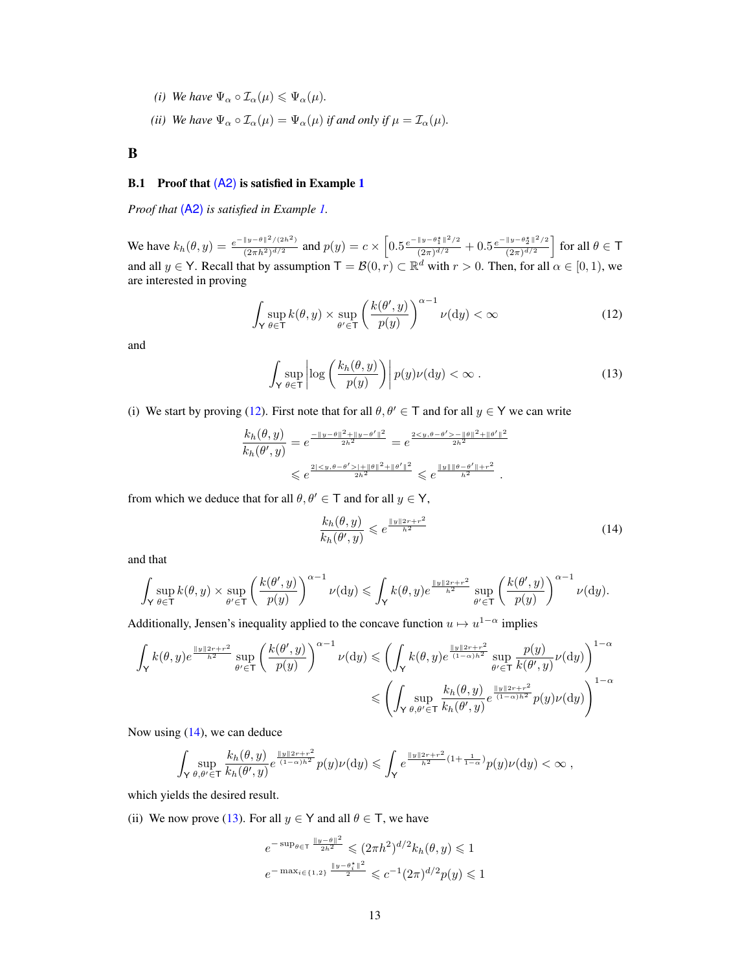- <span id="page-12-4"></span>*(i) We have*  $\Psi_{\alpha} \circ \mathcal{I}_{\alpha}(\mu) \leq \Psi_{\alpha}(\mu)$ .
- <span id="page-12-5"></span>*(ii) We have*  $\Psi_{\alpha} \circ \mathcal{I}_{\alpha}(\mu) = \Psi_{\alpha}(\mu)$  *if and only if*  $\mu = \mathcal{I}_{\alpha}(\mu)$ *.*

B

# <span id="page-12-0"></span>B.[1](#page-3-4) Proof that  $(A2)$  is satisfied in Example 1

*Proof that* [\(A2\)](#page-3-2) *is satisfied in Example [1.](#page-3-4)*

We have  $k_h(\theta, y) = \frac{e^{-\|y-\theta\|^2/(2h^2)}}{(2\pi h^2)^{d/2}}$  $\frac{(\vert y-\theta\vert\vert^2/(2h^2))}{(2\pi h^2)^{d/2}}$  and  $p(y)=c\times\Big[0.5\frac{e^{-\vert\vert y-\theta_1^{\star}\vert\vert^2/2}}{(2\pi)^{d/2}}\Big]$  $\frac{\|y-\theta_1^\star\|^2/2}{(2\pi)^{d/2}}+0.5\frac{e^{-\|y-\theta_2^\star\|^2/2}}{(2\pi)^{d/2}}$  $\frac{\|y-\theta_2^\star\|^2/2}{(2\pi)^{d/2}} \Big] \textrm{ for all } \theta \in \mathsf{T}$ and all  $y \in Y$ . Recall that by assumption  $T = \mathcal{B}(0, r) \subset \mathbb{R}^d$  with  $r > 0$ . Then, for all  $\alpha \in [0, 1)$ , we are interested in proving

$$
\int_{\mathsf{Y}} \sup_{\theta \in \mathsf{T}} k(\theta, y) \times \sup_{\theta' \in \mathsf{T}} \left( \frac{k(\theta', y)}{p(y)} \right)^{\alpha - 1} \nu(\mathrm{d}y) < \infty \tag{12}
$$

and

<span id="page-12-1"></span>
$$
\int_{\mathsf{Y}} \sup_{\theta \in \mathsf{T}} \left| \log \left( \frac{k_h(\theta, y)}{p(y)} \right) \right| p(y) \nu(\mathrm{d}y) < \infty \tag{13}
$$

(i) We start by proving [\(12\)](#page-12-1). First note that for all  $\theta, \theta' \in \mathsf{T}$  and for all  $y \in \mathsf{Y}$  we can write

$$
\frac{k_h(\theta, y)}{k_h(\theta', y)} = e^{\frac{-\|y - \theta\|^2 + \|y - \theta'\|^2}{2h^2}} = e^{\frac{2 < y, \theta - \theta' > -\|\theta\|^2 + \|\theta'\|^2}{2h^2}} < e^{\frac{2\| \leq y, \theta - \theta' > + \|\theta\|^2 + \|\theta'\|^2}{2h^2}} \leqslant e^{\frac{\|y\| \|\theta - \theta'\| + r^2}{h^2}}.
$$

from which we deduce that for all  $\theta, \theta' \in \mathsf{T}$  and for all  $y \in \mathsf{Y}$ ,

<span id="page-12-3"></span><span id="page-12-2"></span>
$$
\frac{k_h(\theta, y)}{k_h(\theta', y)} \leqslant e^{\frac{\|y\|^2 r + r^2}{h^2}} \tag{14}
$$

and that

$$
\int_{\mathsf{Y}} \sup_{\theta \in \mathsf{T}} k(\theta, y) \times \sup_{\theta' \in \mathsf{T}} \left( \frac{k(\theta', y)}{p(y)} \right)^{\alpha - 1} \nu(\mathrm{d}y) \leqslant \int_{\mathsf{Y}} k(\theta, y) e^{\frac{\|\mathit{y}\| 2r + r^2}{h^2}} \sup_{\theta' \in \mathsf{T}} \left( \frac{k(\theta', y)}{p(y)} \right)^{\alpha - 1} \nu(\mathrm{d}y).
$$

Additionally, Jensen's inequality applied to the concave function  $u \mapsto u^{1-\alpha}$  implies

$$
\begin{split} \int_{\mathsf{Y}} k(\theta,y) e^{\frac{\|y\|2r+r^2}{h^2}} \sup_{\theta' \in \mathsf{T}} \left(\frac{k(\theta',y)}{p(y)}\right)^{\alpha-1} \nu(\mathrm{d} y) \leqslant & \left(\int_{\mathsf{Y}} k(\theta,y) e^{\frac{\|y\|2r+r^2}{(1-\alpha)h^2}} \sup_{\theta' \in \mathsf{T}} \frac{p(y)}{k(\theta',y)} \nu(\mathrm{d} y)\right)^{1-\alpha} \\ \leqslant & \left(\int_{\mathsf{Y}} \sup_{\theta,\theta' \in \mathsf{T}} \frac{k_h(\theta,y)}{k_h(\theta',y)} e^{\frac{\|y\|2r+r^2}{(1-\alpha)h^2}} p(y) \nu(\mathrm{d} y)\right)^{1-\alpha} \end{split}
$$

Now using  $(14)$ , we can deduce

$$
\int_\mathsf{Y} \sup_{\theta,\theta'\in\mathsf{T}}\frac{k_h(\theta,y)}{k_h(\theta',y)}e^{\frac{\|y\|2r+r^2}{(1-\alpha)h^2}}p(y)\nu(\mathrm{d} y)\leqslant \int_\mathsf{Y}e^{\frac{\|y\|2r+r^2}{h^2}(1+\frac{1}{1-\alpha})}p(y)\nu(\mathrm{d} y)<\infty\;,
$$

which yields the desired result.

(ii) We now prove [\(13\)](#page-12-3). For all  $y \in Y$  and all  $\theta \in T$ , we have

$$
e^{-\sup_{\theta \in \mathsf{T}} \frac{\|y-\theta\|^2}{2h^2}} \leq (2\pi h^2)^{d/2} k_h(\theta, y) \leq 1
$$
  

$$
e^{-\max_{i \in \{1,2\}} \frac{\|y-\theta_i^*\|^2}{2}} \leq c^{-1} (2\pi)^{d/2} p(y) \leq 1
$$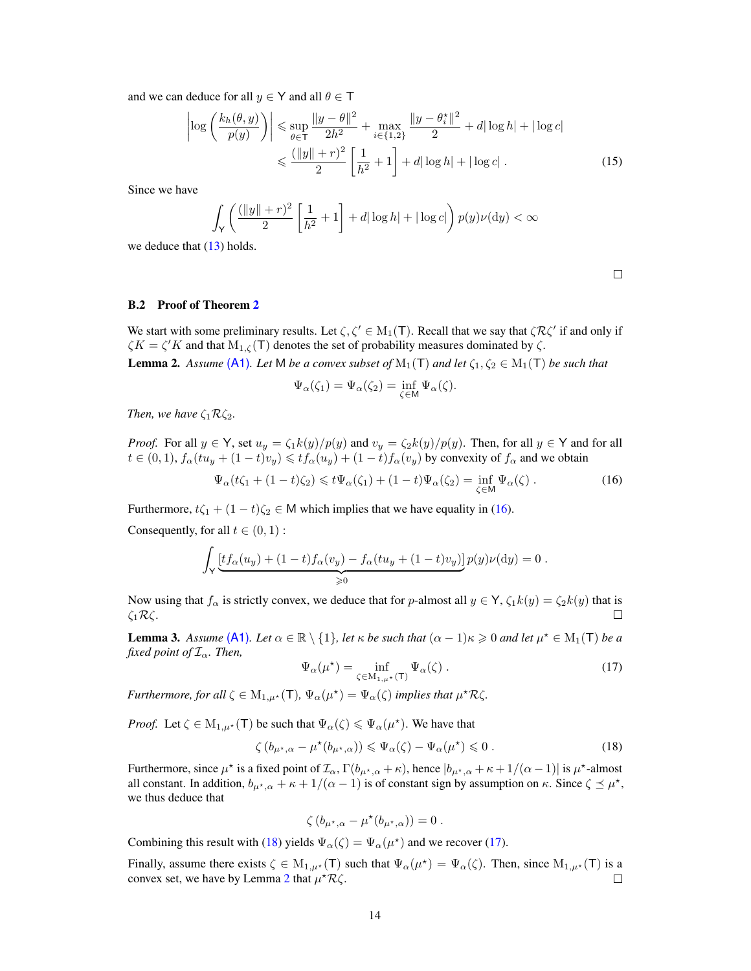and we can deduce for all  $y \in Y$  and all  $\theta \in T$ 

$$
\left| \log \left( \frac{k_h(\theta, y)}{p(y)} \right) \right| \leq \sup_{\theta \in \mathsf{T}} \frac{\|y - \theta\|^2}{2h^2} + \max_{i \in \{1, 2\}} \frac{\|y - \theta_i^*\|^2}{2} + d|\log h| + |\log c|
$$
  
 
$$
\leq \frac{(\|y\| + r)^2}{2} \left[ \frac{1}{h^2} + 1 \right] + d|\log h| + |\log c|.
$$
 (15)

Since we have

$$
\int_{\mathsf{Y}} \left( \frac{(\|y\| + r)^2}{2} \left[ \frac{1}{h^2} + 1 \right] + d|\log h| + |\log c| \right) p(y)\nu(\mathrm{d}y) < \infty
$$

we deduce that  $(13)$  holds.

<span id="page-13-1"></span> $\Box$ 

#### <span id="page-13-0"></span>B.2 Proof of Theorem [2](#page-4-0)

<span id="page-13-4"></span>We start with some preliminary results. Let  $\zeta, \zeta' \in M_1(\mathsf{T})$ . Recall that we say that  $\zeta \mathcal{R} \zeta'$  if and only if  $\zeta K = \zeta' K$  and that  $M_{1,\zeta}(\mathsf{T})$  denotes the set of probability measures dominated by  $\zeta$ . **Lemma 2.** Assume [\(A1\)](#page-2-3). Let M be a convex subset of  $M_1(T)$  and let  $\zeta_1, \zeta_2 \in M_1(T)$  be such that

$$
\Psi_{\alpha}(\zeta_1) = \Psi_{\alpha}(\zeta_2) = \inf_{\zeta \in M} \Psi_{\alpha}(\zeta).
$$

*Then, we have*  $\zeta_1 \mathcal{R} \zeta_2$ *.* 

*Proof.* For all  $y \in Y$ , set  $u_y = \zeta_1 k(y)/p(y)$  and  $v_y = \zeta_2 k(y)/p(y)$ . Then, for all  $y \in Y$  and for all  $t \in (0, 1)$ ,  $f_\alpha(tu_y + (1 - t)v_y) \leq t f_\alpha(u_y) + (1 - t)f_\alpha(v_y)$  by convexity of  $f_\alpha$  and we obtain

$$
\Psi_{\alpha}(t\zeta_1 + (1-t)\zeta_2) \leq t\Psi_{\alpha}(\zeta_1) + (1-t)\Psi_{\alpha}(\zeta_2) = \inf_{\zeta \in \mathsf{M}} \Psi_{\alpha}(\zeta).
$$
\n(16)

Furthermore,  $t\zeta_1 + (1 - t)\zeta_2 \in M$  which implies that we have equality in [\(16\)](#page-13-1).

Consequently, for all  $t \in (0, 1)$ :

$$
\int_{\mathsf{Y}} \underbrace{[tf_{\alpha}(u_y) + (1-t)f_{\alpha}(v_y) - f_{\alpha}(tu_y + (1-t)v_y)]}_{\geqslant 0} p(y) \nu(\mathrm{d}y) = 0.
$$

Now using that  $f_\alpha$  is strictly convex, we deduce that for p-almost all  $y \in Y$ ,  $\zeta_1 k(y) = \zeta_2 k(y)$  that is ζ1Rζ.  $\Box$ 

<span id="page-13-5"></span>**Lemma 3.** Assume [\(A1\)](#page-2-3). Let  $\alpha \in \mathbb{R} \setminus \{1\}$ , let  $\kappa$  be such that  $(\alpha - 1)\kappa \geq 0$  and let  $\mu^* \in M_1(\mathsf{T})$  be a *fixed point of*  $\mathcal{I}_{\alpha}$ *. Then,* 

<span id="page-13-3"></span>
$$
\Psi_{\alpha}(\mu^*) = \inf_{\zeta \in M_{1,\mu^*}(\mathsf{T})} \Psi_{\alpha}(\zeta) . \tag{17}
$$

*Furthermore, for all*  $\zeta \in M_{1,\mu^*}(\mathsf{T})$ ,  $\Psi_\alpha(\mu^*) = \Psi_\alpha(\zeta)$  *implies that*  $\mu^* \mathcal{R} \zeta$ *.* 

*Proof.* Let  $\zeta \in M_{1,\mu^*}(\mathsf{T})$  be such that  $\Psi_\alpha(\zeta) \leq \Psi_\alpha(\mu^*)$ . We have that

$$
\zeta(b_{\mu^*,\alpha} - \mu^*(b_{\mu^*,\alpha})) \leq \Psi_\alpha(\zeta) - \Psi_\alpha(\mu^*) \leq 0.
$$
 (18)

Furthermore, since  $\mu^*$  is a fixed point of  $\mathcal{I}_\alpha$ ,  $\Gamma(b_{\mu^*,\alpha} + \kappa)$ , hence  $|b_{\mu^*,\alpha} + \kappa + 1/(\alpha - 1)|$  is  $\mu^*$ -almost all constant. In addition,  $b_{\mu^*,\alpha} + \kappa + 1/(\alpha - 1)$  is of constant sign by assumption on  $\kappa$ . Since  $\zeta \preceq \mu^*,$ we thus deduce that

<span id="page-13-2"></span>
$$
\zeta\left(b_{\mu^\star,\alpha}-\mu^\star(b_{\mu^\star,\alpha})\right)=0\;.
$$

Combining this result with [\(18\)](#page-13-2) yields  $\Psi_{\alpha}(\zeta) = \Psi_{\alpha}(\mu^{*})$  and we recover [\(17\)](#page-13-3).

Finally, assume there exists  $\zeta \in M_{1,\mu^*}(\mathsf{T})$  such that  $\Psi_\alpha(\mu^*) = \Psi_\alpha(\zeta)$ . Then, since  $M_{1,\mu^*}(\mathsf{T})$  is a convex set, we have by Lemma [2](#page-13-4) that  $\mu^* \mathcal{R} \zeta$ .  $\Box$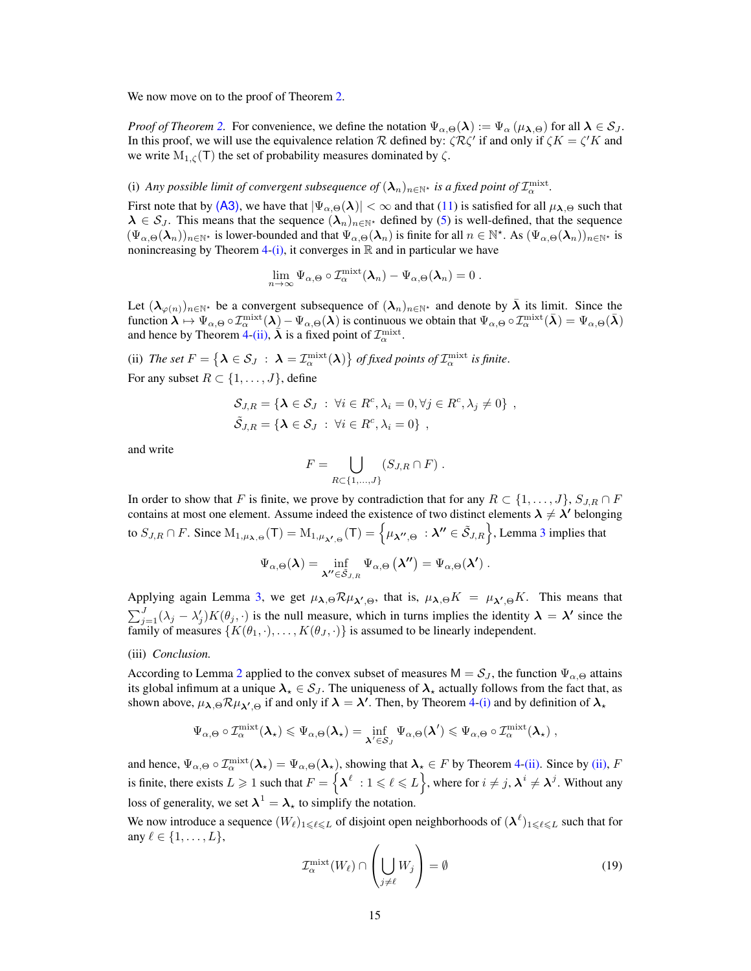We now move on to the proof of Theorem [2.](#page-4-0)

*Proof of Theorem* [2.](#page-4-0) For convenience, we define the notation  $\Psi_{\alpha,\Theta}(\lambda) := \Psi_{\alpha}(\mu_{\lambda,\Theta})$  for all  $\lambda \in S_J$ . In this proof, we will use the equivalence relation R defined by:  $\zeta \mathcal{R} \zeta'$  if and only if  $\zeta K = \zeta' K$  and we write  $M_{1,\zeta}(\mathsf{T})$  the set of probability measures dominated by  $\zeta$ .

# <span id="page-14-1"></span>(i) Any possible limit of convergent subsequence of  $(\lambda_n)_{n\in\mathbb{N}^*}$  is a fixed point of  $\mathcal{I}^{\rm mixt}_\alpha$ .

First note that by [\(A3\)](#page-4-1), we have that  $|\Psi_{\alpha,\Theta}(\lambda)| < \infty$  and that [\(11\)](#page-11-3) is satisfied for all  $\mu_{\lambda,\Theta}$  such that  $\lambda \in S_J$ . This means that the sequence  $(\lambda_n)_{n \in \mathbb{N}^*}$  defined by [\(5\)](#page-4-2) is well-defined, that the sequence  $(\Psi_{\alpha,\Theta}(\lambda_n))_{n\in\mathbb{N}^*}$  is lower-bounded and that  $\Psi_{\alpha,\Theta}(\lambda_n)$  is finite for all  $n \in \mathbb{N}^*$ . As  $(\Psi_{\alpha,\Theta}(\lambda_n))_{n\in\mathbb{N}^*}$  is nonincreasing by Theorem [4-](#page-11-1)[\(i\),](#page-12-4) it converges in  $\mathbb R$  and in particular we have

$$
\lim_{n\to\infty}\Psi_{\alpha,\Theta}\circ T_\alpha^{\text{mixt}}(\boldsymbol{\lambda}_n)-\Psi_{\alpha,\Theta}(\boldsymbol{\lambda}_n)=0.
$$

Let  $(\lambda_{\varphi(n)})_{n\in\mathbb{N}^*}$  be a convergent subsequence of  $(\lambda_n)_{n\in\mathbb{N}^*}$  and denote by  $\bar{\lambda}$  its limit. Since the function  $\lambda \mapsto \Psi_{\alpha,\Theta} \circ \mathcal{I}_{\alpha}^{\text{mixt}}(\lambda) - \Psi_{\alpha,\Theta}(\lambda)$  is continuous we obtain that  $\Psi_{\alpha,\Theta} \circ \mathcal{I}_{\alpha}^{\text{mixt}}(\lambda) = \Psi_{\alpha,\Theta}(\lambda)$ and hence by Theorem [4](#page-11-1)[-\(ii\),](#page-12-5)  $\bar{\lambda}$  is a fixed point of  $\mathcal{I}_{\alpha}^{\text{mixt}}$ .

<span id="page-14-0"></span>(ii) The set  $F = \{ \boldsymbol{\lambda} \in \mathcal{S}_J \; : \; \boldsymbol{\lambda} = \mathcal{I}^{\rm mixt}_\alpha(\boldsymbol{\lambda}) \}$  of fixed points of  $\mathcal{I}^{\rm mixt}_\alpha$  is finite. For any subset  $R \subset \{1, \ldots, J\}$ , define

$$
\mathcal{S}_{J,R} = \{ \lambda \in \mathcal{S}_J : \forall i \in R^c, \lambda_i = 0, \forall j \in R^c, \lambda_j \neq 0 \},
$$
  

$$
\tilde{\mathcal{S}}_{J,R} = \{ \lambda \in \mathcal{S}_J : \forall i \in R^c, \lambda_i = 0 \},
$$

and write

$$
F = \bigcup_{R \subset \{1,\ldots,J\}} (S_{J,R} \cap F) .
$$

In order to show that F is finite, we prove by contradiction that for any  $R \subset \{1, \ldots, J\}$ ,  $S_{J,R} \cap F$ contains at most one element. Assume indeed the existence of two distinct elements  $\lambda \neq \lambda'$  belonging to  $S_{J,R}\cap F$ . Since  $\mathrm{M}_{1,\mu_{\boldsymbol{\lambda}},\Theta}(\mathsf{T})=\mathrm{M}_{1,\mu_{\boldsymbol{\lambda'},\Theta}}(\mathsf{T})=\left\{\mu_{\boldsymbol{\lambda''},\Theta}\ : \boldsymbol{\lambda''}\in \tilde{\mathcal{S}}_{J,R}\right\}$ , Lemma [3](#page-13-5) implies that

$$
\Psi_{\alpha,\Theta}(\boldsymbol{\lambda}) = \inf_{\boldsymbol{\lambda}'' \in \tilde{\mathcal{S}}_{J,R}} \Psi_{\alpha,\Theta}(\boldsymbol{\lambda''}) = \Psi_{\alpha,\Theta}(\boldsymbol{\lambda'}) \ .
$$

Applying again Lemma [3,](#page-13-5) we get  $\mu_{\lambda,\Theta} \mathcal{R} \mu_{\lambda',\Theta}$ , that is,  $\mu_{\lambda,\Theta} K = \mu_{\lambda',\Theta} K$ . This means that  $\sum_{j=1}^{J} (\lambda_j - \lambda'_j) K(\theta_j, \cdot)$  is the null measure, which in turns implies the identity  $\lambda = \lambda'$  since the family of measures  $\{K(\theta_1, \cdot), \ldots, K(\theta_J, \cdot)\}\$  is assumed to be linearly independent.

#### (iii) *Conclusion.*

According to Lemma [2](#page-13-4) applied to the convex subset of measures  $M = S_J$ , the function  $\Psi_{\alpha,\Theta}$  attains its global infimum at a unique  $\lambda_{\star} \in S_J$ . The uniqueness of  $\lambda_{\star}$  actually follows from the fact that, as shown above,  $\mu_{\lambda,\Theta} \mathcal{R} \mu_{\lambda',\Theta}$  if and only if  $\lambda = \lambda'$ . Then, by Theorem [4-](#page-11-1)[\(i\)](#page-12-4) and by definition of  $\lambda_\star$ 

$$
\Psi_{\alpha,\Theta}\circ {\mathcal I}_\alpha^{\rm mixt}(\pmb{\lambda}_\star)\leqslant \Psi_{\alpha,\Theta}(\pmb{\lambda}_\star)=\inf_{\pmb{\lambda}'\in {\mathcal S}_J}\Psi_{\alpha,\Theta}(\pmb{\lambda}')\leqslant \Psi_{\alpha,\Theta}\circ {\mathcal I}_\alpha^{\rm mixt}(\pmb{\lambda}_\star)\ ,
$$

and hence,  $\Psi_{\alpha,\Theta} \circ \mathcal{I}_{\alpha}^{\text{mixt}}(\lambda_{\star}) = \Psi_{\alpha,\Theta}(\lambda_{\star})$ , showing that  $\lambda_{\star} \in F$  by Theorem [4-](#page-11-1)[\(ii\).](#page-12-5) Since by [\(ii\),](#page-14-0) F is finite, there exists  $L \geq 1$  such that  $F = \{ \lambda^{\ell} : 1 \leqslant \ell \leqslant L \}$ , where for  $i \neq j$ ,  $\lambda^{i} \neq \lambda^{j}$ . Without any loss of generality, we set  $\lambda^1 = \lambda_{\star}$  to simplify the notation.

We now introduce a sequence  $(W_\ell)_{1\leq \ell\leq L}$  of disjoint open neighborhoods of  $(\lambda^\ell)_{1\leq \ell\leq L}$  such that for any  $\ell \in \{1, \ldots, L\},\$ 

<span id="page-14-2"></span>
$$
\mathcal{I}_{\alpha}^{\text{mixt}}(W_{\ell}) \cap \left(\bigcup_{j \neq \ell} W_j\right) = \emptyset \tag{19}
$$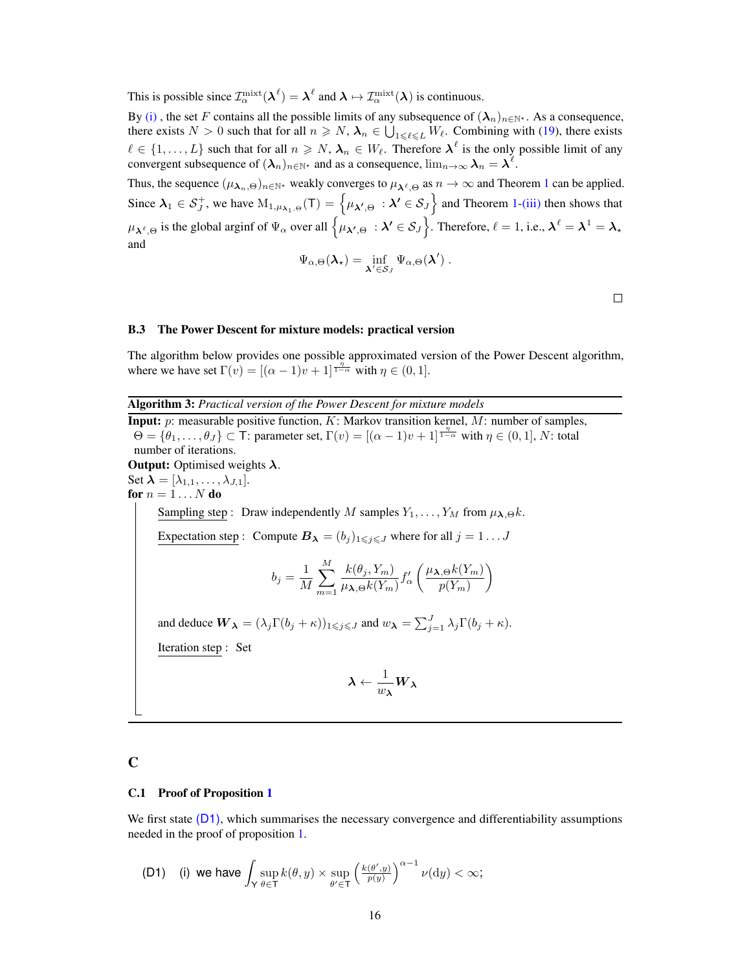This is possible since  $\mathcal{I}_{\alpha}^{\text{mixt}}(\lambda^{\ell}) = \lambda^{\ell}$  and  $\lambda \mapsto \mathcal{I}_{\alpha}^{\text{mixt}}(\lambda)$  is continuous.

By [\(i\)](#page-14-1), the set F contains all the possible limits of any subsequence of  $(\lambda_n)_{n\in\mathbb{N}^*}$ . As a consequence, there exists  $N > 0$  such that for all  $n \ge N$ ,  $\lambda_n \in \bigcup_{1 \le \ell \le L} W_{\ell}$ . Combining with [\(19\)](#page-14-2), there exists  $\ell \in \{1, \ldots, L\}$  such that for all  $n \geq N$ ,  $\lambda_n \in W_\ell$ . Therefore  $\lambda^\ell$  is the only possible limit of any convergent subsequence of  $(\lambda_n)_{n \in \mathbb{N}^*}$  and as a consequence,  $\lim_{n \to \infty} \lambda_n = \lambda^{\ell}$ .

Thus, the sequence  $(\mu_{\lambda_n,\Theta})_{n\in\mathbb{N}^*}$  weakly converges to  $\mu_{\lambda^\ell,\Theta}$  as  $n\to\infty$  and Theorem [1](#page-3-1) can be applied. Since  $\lambda_1 \in S_J^+$  $\lambda_1 \in S_J^+$  $\lambda_1 \in S_J^+$ , we have  $M_{1,\mu_{\lambda_1,\Theta}}(T) = \{ \mu_{\lambda',\Theta} : \lambda' \in S_J \}$  and Theorem 1[-\(iii\)](#page-3-5) then shows that  $\mu_{\boldsymbol{\lambda}^{\ell},\Theta}$  is the global arginf of  $\Psi_{\alpha}$  over all  $\left\{\mu_{\boldsymbol{\lambda}',\Theta}\ : \boldsymbol{\lambda}'\in \mathcal{S}_J\right\}$ . Therefore,  $\ell=1,$  i.e.,  $\boldsymbol{\lambda}^{\ell}=\boldsymbol{\lambda}^1=\boldsymbol{\lambda}_\star$ and

$$
\Psi_{\alpha,\Theta}(\boldsymbol{\lambda}_{\star}) = \inf_{\boldsymbol{\lambda}' \in \mathcal{S}_J} \Psi_{\alpha,\Theta}(\boldsymbol{\lambda}') .
$$

 $\Box$ 

#### <span id="page-15-1"></span>B.3 The Power Descent for mixture models: practical version

The algorithm below provides one possible approximated version of the Power Descent algorithm, where we have set  $\Gamma(v) = [(\alpha - 1)v + 1]^{\frac{\eta}{1-\alpha}}$  with  $\eta \in (0,1]$ .

Algorithm 3: *Practical version of the Power Descent for mixture models*

<span id="page-15-0"></span>**Input:**  $p$ : measurable positive function,  $K$ : Markov transition kernel,  $M$ : number of samples,  $\Theta = {\theta_1, \ldots, \theta_J} \subset \mathsf{T}$ : parameter set,  $\Gamma(v) = [(\alpha - 1)v + 1]^{\frac{\eta}{1 - \alpha}}$  with  $\eta \in (0, 1], N$ : total number of iterations. **Output:** Optimised weights  $\lambda$ . Set  $\lambda = [\lambda_{1,1}, \ldots, \lambda_{J,1}].$ for  $n = 1 \ldots N$  do Sampling step : Draw independently M samples  $Y_1, \ldots, Y_M$  from  $\mu_{\lambda,\Theta} k$ . Expectation step : Compute  $B_{\lambda} = (b_j)_{1 \leq j \leq J}$  where for all  $j = 1 \dots J$  $b_j = \frac{1}{\sqrt{2}}$ M  $\sum^M$  $m=1$  $k(\theta_j,Y_m)$  $\frac{\kappa(v_j,1_{m})}{\mu_{\boldsymbol{\lambda},\Theta}k(Y_m)}f'_{\alpha}$  $\mu_{\lambda,\Theta}k(Y_m)$  $p(Y_m)$  $\setminus$ and deduce  $W_{\lambda} = (\lambda_j \Gamma(b_j + \kappa))_{1 \leq j \leq J}$  and  $w_{\lambda} = \sum_{j=1}^{J} \lambda_j \Gamma(b_j + \kappa)$ . Iteration step : Set  $\boldsymbol{\lambda} \leftarrow \frac{1}{\boldsymbol{\lambda}}$  $\frac{1}{w_{\boldsymbol{\lambda}}}W_{\boldsymbol{\lambda}}$ 

# C

#### <span id="page-15-2"></span>C.1 Proof of Proposition [1](#page-5-1)

We first state  $(D_1)$ , which summarises the necessary convergence and differentiability assumptions needed in the proof of proposition [1.](#page-5-1)

<span id="page-15-3"></span>
$$
\textbf{(D1)} \quad \textbf{(i) we have } \int_{\mathsf{Y}} \sup_{\theta \in \mathsf{T}} k(\theta, y) \times \sup_{\theta' \in \mathsf{T}} \left( \tfrac{k(\theta', y)}{p(y)} \right)^{\alpha - 1} \nu(\mathrm{d}y) < \infty;
$$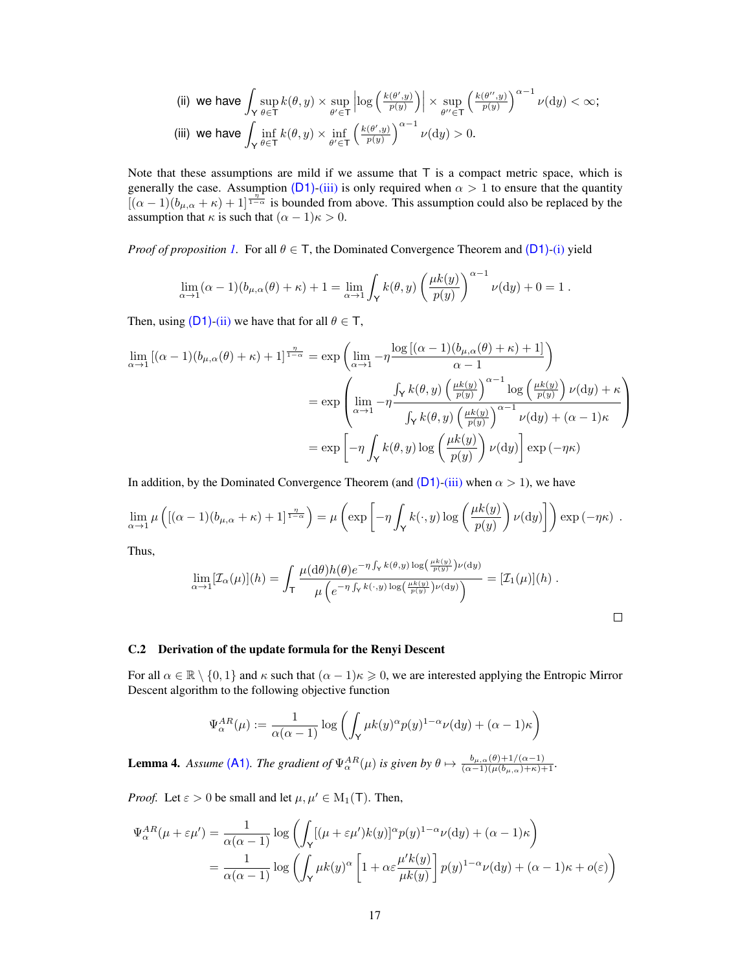<span id="page-16-2"></span>(ii) we have 
$$
\int_{\mathsf{Y}} \sup_{\theta \in \mathsf{T}} k(\theta, y) \times \sup_{\theta' \in \mathsf{T}} \left| \log \left( \frac{k(\theta', y)}{p(y)} \right) \right| \times \sup_{\theta'' \in \mathsf{T}} \left( \frac{k(\theta'', y)}{p(y)} \right)^{\alpha - 1} \nu(\mathrm{d}y) < \infty;
$$
 (iii) we have  $\int_{\mathsf{Y}} \inf_{\theta \in \mathsf{T}} k(\theta, y) \times \inf_{\theta' \in \mathsf{T}} \left( \frac{k(\theta', y)}{p(y)} \right)^{\alpha - 1} \nu(\mathrm{d}y) > 0.$ 

<span id="page-16-0"></span>Note that these assumptions are mild if we assume that  $T$  is a compact metric space, which is generally the case. Assumption  $(D1)$ [-\(iii\)](#page-16-0) is only required when  $\alpha > 1$  to ensure that the quantity  $[(\alpha-1)(b_{\mu,\alpha}+\kappa)+1]^{\frac{n}{1-\alpha}}$  is bounded from above. This assumption could also be replaced by the assumption that  $\kappa$  is such that  $(\alpha - 1)\kappa > 0$ .

*Proof of proposition* [1.](#page-5-1) For all  $\theta \in T$ , the Dominated Convergence Theorem and [\(D1\)](#page-16-0)[-\(i\)](#page-15-3) yield

$$
\lim_{\alpha \to 1} (\alpha - 1)(b_{\mu,\alpha}(\theta) + \kappa) + 1 = \lim_{\alpha \to 1} \int_{\mathsf{Y}} k(\theta, y) \left( \frac{\mu k(y)}{p(y)} \right)^{\alpha - 1} \nu(\mathrm{d}y) + 0 = 1.
$$

Then, using  $(D1)$ [-\(ii\)](#page-16-2) we have that for all  $\theta \in T$ ,

$$
\lim_{\alpha \to 1} \left[ (\alpha - 1)(b_{\mu,\alpha}(\theta) + \kappa) + 1 \right]^{\frac{\eta}{1-\alpha}} = \exp \left( \lim_{\alpha \to 1} -\eta \frac{\log \left[ (\alpha - 1)(b_{\mu,\alpha}(\theta) + \kappa) + 1 \right]}{\alpha - 1} \right)
$$
\n
$$
= \exp \left( \lim_{\alpha \to 1} -\eta \frac{\int_{\mathsf{Y}} k(\theta, y) \left( \frac{\mu k(y)}{p(y)} \right)^{\alpha - 1} \log \left( \frac{\mu k(y)}{p(y)} \right) \nu(\mathrm{d}y) + \kappa}{\int_{\mathsf{Y}} k(\theta, y) \left( \frac{\mu k(y)}{p(y)} \right)^{\alpha - 1} \nu(\mathrm{d}y) + (\alpha - 1)\kappa} \right)
$$
\n
$$
= \exp \left[ -\eta \int_{\mathsf{Y}} k(\theta, y) \log \left( \frac{\mu k(y)}{p(y)} \right) \nu(\mathrm{d}y) \right] \exp \left( -\eta \kappa \right)
$$

In addition, by the Dominated Convergence Theorem (and  $(D1)$ [-\(iii\)](#page-16-0) when  $\alpha > 1$ ), we have

$$
\lim_{\alpha \to 1} \mu\left( [(\alpha - 1)(b_{\mu,\alpha} + \kappa) + 1]^{\frac{\eta}{1-\alpha}} \right) = \mu\left( \exp\left[ -\eta \int_{\mathsf{Y}} k(\cdot,y) \log\left( \frac{\mu k(y)}{p(y)} \right) \nu(\mathrm{d}y) \right] \right) \exp\left( -\eta \kappa \right) .
$$

Thus,

$$
\lim_{\alpha \to 1} [\mathcal{I}_{\alpha}(\mu)](h) = \int_{\mathsf{T}} \frac{\mu(\mathrm{d}\theta)h(\theta)e^{-\eta\int_{\mathsf{Y}} k(\theta,y)\log\left(\frac{\mu k(y)}{p(y)}\right)\nu(\mathrm{d}y)}}{\mu\left(e^{-\eta\int_{\mathsf{Y}} k(\cdot,y)\log\left(\frac{\mu k(y)}{p(y)}\right)\nu(\mathrm{d}y)}\right)} = [\mathcal{I}_{1}(\mu)](h) .
$$

#### <span id="page-16-1"></span>C.2 Derivation of the update formula for the Renyi Descent

For all  $\alpha \in \mathbb{R} \setminus \{0,1\}$  and  $\kappa$  such that  $(\alpha - 1)\kappa \geqslant 0$ , we are interested applying the Entropic Mirror Descent algorithm to the following objective function

$$
\Psi_{\alpha}^{AR}(\mu) := \frac{1}{\alpha(\alpha-1)} \log \left( \int_{\mathsf{Y}} \mu k(y)^{\alpha} p(y)^{1-\alpha} \nu(\mathrm{d}y) + (\alpha-1)\kappa \right)
$$

**Lemma 4.** *Assume* [\(A1\)](#page-2-3). The gradient of  $\Psi_{\alpha}^{AR}(\mu)$  is given by  $\theta \mapsto \frac{b_{\mu,\alpha}(\theta) + 1/(\alpha-1)}{(\alpha-1)(\mu(b_{\mu,\alpha}) + \kappa) + 1}$ .

*Proof.* Let  $\varepsilon > 0$  be small and let  $\mu, \mu' \in M_1(T)$ . Then,

$$
\Psi_{\alpha}^{AR}(\mu + \varepsilon \mu') = \frac{1}{\alpha(\alpha - 1)} \log \left( \int_{\mathsf{Y}} [( \mu + \varepsilon \mu') k(y) ]^{\alpha} p(y)^{1 - \alpha} \nu(\mathrm{d}y) + (\alpha - 1) \kappa \right)
$$

$$
= \frac{1}{\alpha(\alpha - 1)} \log \left( \int_{\mathsf{Y}} \mu k(y)^{\alpha} \left[ 1 + \alpha \varepsilon \frac{\mu' k(y)}{\mu k(y)} \right] p(y)^{1 - \alpha} \nu(\mathrm{d}y) + (\alpha - 1) \kappa + o(\varepsilon) \right)
$$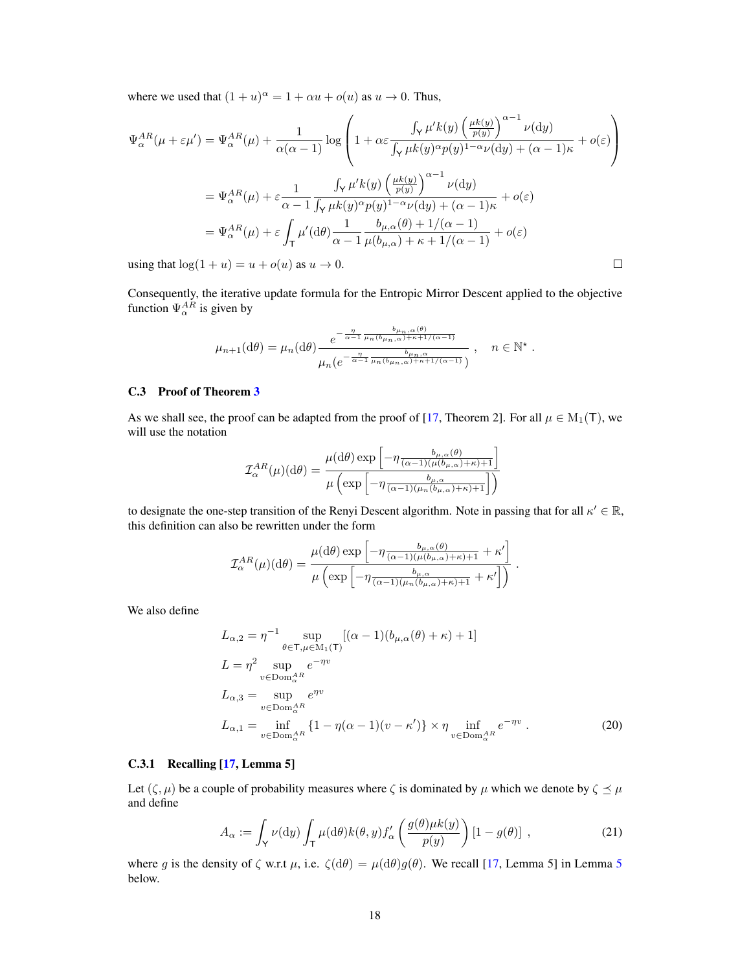where we used that  $(1 + u)^{\alpha} = 1 + \alpha u + o(u)$  as  $u \to 0$ . Thus,

$$
\Psi_{\alpha}^{AR}(\mu + \varepsilon \mu') = \Psi_{\alpha}^{AR}(\mu) + \frac{1}{\alpha(\alpha - 1)} \log \left( 1 + \alpha \varepsilon \frac{\int_{\mathsf{Y}} \mu' k(y) \left( \frac{\mu k(y)}{p(y)} \right)^{\alpha - 1} \nu(\mathrm{d}y)}{\int_{\mathsf{Y}} \mu k(y)^{\alpha} p(y)^{1 - \alpha} \nu(\mathrm{d}y) + (\alpha - 1)\kappa} + o(\varepsilon) \right)
$$
\n
$$
= \Psi_{\alpha}^{AR}(\mu) + \varepsilon \frac{1}{\alpha - 1} \frac{\int_{\mathsf{Y}} \mu' k(y) \left( \frac{\mu k(y)}{p(y)} \right)^{\alpha - 1} \nu(\mathrm{d}y)}{\int_{\mathsf{Y}} \mu k(y)^{\alpha} p(y)^{1 - \alpha} \nu(\mathrm{d}y) + (\alpha - 1)\kappa} + o(\varepsilon)
$$
\n
$$
= \Psi_{\alpha}^{AR}(\mu) + \varepsilon \int_{\mathsf{T}} \mu'(\mathrm{d}\theta) \frac{1}{\alpha - 1} \frac{b_{\mu,\alpha}(\theta) + 1/(\alpha - 1)}{\mu(b_{\mu,\alpha}) + \kappa + 1/(\alpha - 1)} + o(\varepsilon)
$$
\nusing that  $\log(1 + u) = u + o(u)$  as  $u \to 0$ .

using that  $log(1 + u) = u + o(u)$  as  $u \to 0$ .

Consequently, the iterative update formula for the Entropic Mirror Descent applied to the objective function  $\Psi_{\alpha}^{AR}$  is given by

$$
\mu_{n+1}(\mathrm{d}\theta) = \mu_n(\mathrm{d}\theta) \frac{e^{-\frac{\eta}{\alpha-1}\frac{b_{\mu_n,\alpha}(\theta)}{\mu_n(b_{\mu_n,\alpha})+\kappa+1/(\alpha-1)}}}{\mu_n(e^{-\frac{\eta}{\alpha-1}\frac{b_{\mu_n,\alpha}}{\mu_n(b_{\mu_n,\alpha})+\kappa+1/(\alpha-1)}})}, \quad n \in \mathbb{N}^*.
$$

#### <span id="page-17-1"></span>C.3 Proof of Theorem [3](#page-6-0)

As we shall see, the proof can be adapted from the proof of [\[17,](#page-10-7) Theorem 2]. For all  $\mu \in M_1(T)$ , we will use the notation

$$
\mathcal{I}_{\alpha}^{AR}(\mu)(d\theta) = \frac{\mu(d\theta) \exp\left[-\eta \frac{b_{\mu,\alpha}(\theta)}{(\alpha-1)(\mu(b_{\mu,\alpha})+\kappa)+1}\right]}{\mu\left(\exp\left[-\eta \frac{b_{\mu,\alpha}}{(\alpha-1)(\mu_n(b_{\mu,\alpha})+\kappa)+1}\right]\right)}
$$

to designate the one-step transition of the Renyi Descent algorithm. Note in passing that for all  $\kappa' \in \mathbb{R}$ , this definition can also be rewritten under the form

$$
\mathcal{I}_{\alpha}^{AR}(\mu)(\mathrm{d}\theta) = \frac{\mu(\mathrm{d}\theta)\exp\left[-\eta \frac{b_{\mu,\alpha}(\theta)}{(\alpha-1)(\mu(b_{\mu,\alpha})+\kappa)+1}+\kappa'\right]}{\mu\left(\exp\left[-\eta \frac{b_{\mu,\alpha}}{(\alpha-1)(\mu_n(b_{\mu,\alpha})+\kappa)+1}+\kappa'\right]\right)}.
$$

We also define

<span id="page-17-0"></span>
$$
L_{\alpha,2} = \eta^{-1} \sup_{\theta \in \mathsf{T}, \mu \in \mathcal{M}_1(\mathsf{T})} [(\alpha - 1)(b_{\mu,\alpha}(\theta) + \kappa) + 1]
$$
  
\n
$$
L = \eta^2 \sup_{v \in \text{Dom}_{\alpha}^{AR}} e^{-\eta v}
$$
  
\n
$$
L_{\alpha,3} = \sup_{v \in \text{Dom}_{\alpha}^{AR}} e^{\eta v}
$$
  
\n
$$
L_{\alpha,1} = \inf_{v \in \text{Dom}_{\alpha}^{AR}} \{1 - \eta(\alpha - 1)(v - \kappa')\} \times \eta \inf_{v \in \text{Dom}_{\alpha}^{AR}} e^{-\eta v}.
$$
 (20)

#### C.3.1 Recalling [\[17,](#page-10-7) Lemma 5]

Let  $(\zeta, \mu)$  be a couple of probability measures where  $\zeta$  is dominated by  $\mu$  which we denote by  $\zeta \preceq \mu$ and define

$$
A_{\alpha} := \int_{\mathsf{Y}} \nu(\mathrm{d}y) \int_{\mathsf{T}} \mu(\mathrm{d}\theta) k(\theta, y) f_{\alpha}'\left(\frac{g(\theta)\mu k(y)}{p(y)}\right) [1 - g(\theta)], \qquad (21)
$$

<span id="page-17-2"></span>where g is the density of  $\zeta$  w.r.t  $\mu$ , i.e.  $\zeta(d\theta) = \mu(d\theta)g(\theta)$ . We recall [\[17,](#page-10-7) Lemma [5](#page-17-2)] in Lemma 5 below.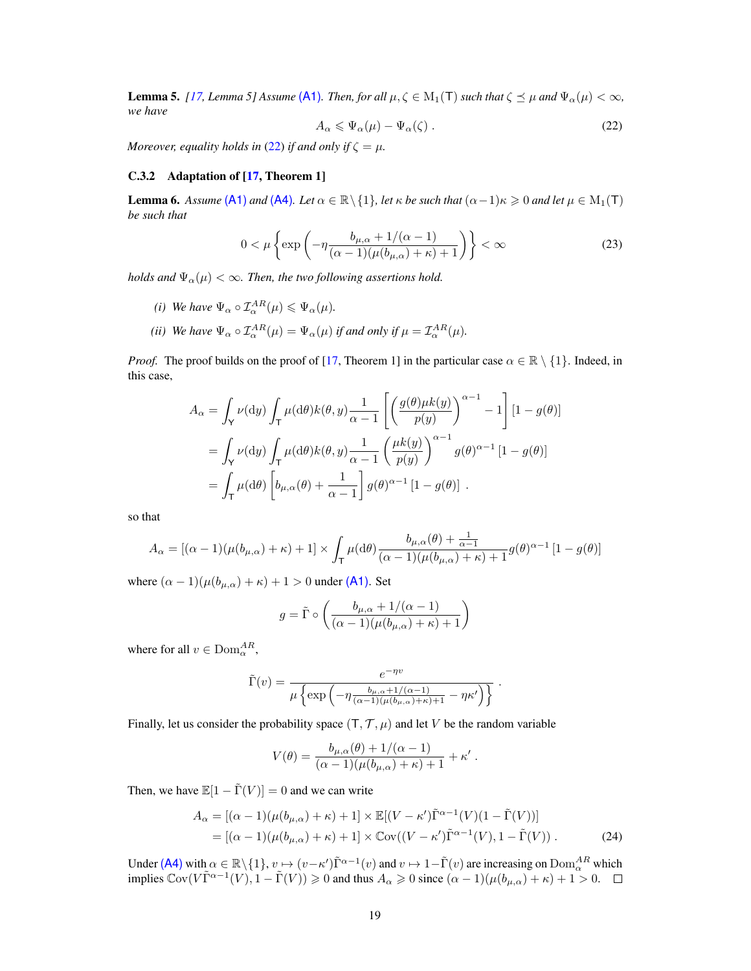<span id="page-18-0"></span>**Lemma 5.** *[\[17,](#page-10-7) Lemma 5] Assume* [\(A1\)](#page-2-3)*. Then, for all*  $\mu, \zeta \in M_1(T)$  *such that*  $\zeta \leq \mu$  *and*  $\Psi_\alpha(\mu) < \infty$ *, we have*

<span id="page-18-1"></span>
$$
A_{\alpha} \leqslant \Psi_{\alpha}(\mu) - \Psi_{\alpha}(\zeta) \tag{22}
$$

*Moreover, equality holds in* [\(22\)](#page-18-0) *if and only if*  $\zeta = \mu$ *.* 

#### C.3.2 Adaptation of [\[17,](#page-10-7) Theorem 1]

<span id="page-18-3"></span>**Lemma 6.** Assume [\(A1\)](#page-2-3) and [\(A4\)](#page-6-1). Let  $\alpha \in \mathbb{R} \setminus \{1\}$ , let  $\kappa$  be such that  $(\alpha - 1)\kappa \geq 0$  and let  $\mu \in M_1(\mathsf{T})$ *be such that*

$$
0 < \mu \left\{ \exp \left( -\eta \frac{b_{\mu,\alpha} + 1/(\alpha - 1)}{(\alpha - 1)(\mu(b_{\mu,\alpha}) + \kappa) + 1} \right) \right\} < \infty \tag{23}
$$

*holds and*  $\Psi_{\alpha}(\mu) < \infty$ . *Then, the two following assertions hold.* 

- *(i) We have*  $\Psi_{\alpha} \circ \mathcal{I}_{\alpha}^{AR}(\mu) \leq \Psi_{\alpha}(\mu)$ *.*
- (*ii*) We have  $\Psi_{\alpha} \circ \mathcal{I}_{\alpha}^{AR}(\mu) = \Psi_{\alpha}(\mu)$  *if and only if*  $\mu = \mathcal{I}_{\alpha}^{AR}(\mu)$ *.*

*Proof.* The proof builds on the proof of [\[17,](#page-10-7) Theorem 1] in the particular case  $\alpha \in \mathbb{R} \setminus \{1\}$ . Indeed, in this case,

$$
A_{\alpha} = \int_{\mathsf{Y}} \nu(\mathrm{d}y) \int_{\mathsf{T}} \mu(\mathrm{d}\theta) k(\theta, y) \frac{1}{\alpha - 1} \left[ \left( \frac{g(\theta)\mu k(y)}{p(y)} \right)^{\alpha - 1} - 1 \right] [1 - g(\theta)]
$$
  
= 
$$
\int_{\mathsf{Y}} \nu(\mathrm{d}y) \int_{\mathsf{T}} \mu(\mathrm{d}\theta) k(\theta, y) \frac{1}{\alpha - 1} \left( \frac{\mu k(y)}{p(y)} \right)^{\alpha - 1} g(\theta)^{\alpha - 1} [1 - g(\theta)]
$$
  
= 
$$
\int_{\mathsf{T}} \mu(\mathrm{d}\theta) \left[ b_{\mu,\alpha}(\theta) + \frac{1}{\alpha - 1} \right] g(\theta)^{\alpha - 1} [1 - g(\theta)].
$$

so that

$$
A_{\alpha} = \left[ (\alpha - 1)(\mu(b_{\mu,\alpha}) + \kappa) + 1 \right] \times \int_{\mathsf{T}} \mu(\mathrm{d}\theta) \frac{b_{\mu,\alpha}(\theta) + \frac{1}{\alpha - 1}}{(\alpha - 1)(\mu(b_{\mu,\alpha}) + \kappa) + 1} g(\theta)^{\alpha - 1} \left[ 1 - g(\theta) \right]
$$

where  $(\alpha - 1)(\mu(b_{\mu,\alpha}) + \kappa) + 1 > 0$  under [\(A1\)](#page-2-3). Set

$$
g = \tilde{\Gamma} \circ \left( \frac{b_{\mu,\alpha} + 1/(\alpha - 1)}{(\alpha - 1)(\mu(b_{\mu,\alpha}) + \kappa) + 1} \right)
$$

where for all  $v \in Dom_{\alpha}^{AR}$ ,

$$
\tilde{\Gamma}(v) = \frac{e^{-\eta v}}{\mu \left\{ \exp \left( -\eta \frac{b_{\mu,\alpha} + 1/(\alpha - 1)}{(\alpha - 1)(\mu(b_{\mu,\alpha}) + \kappa) + 1} - \eta \kappa' \right) \right\}}.
$$

Finally, let us consider the probability space  $(T, \mathcal{T}, \mu)$  and let V be the random variable

<span id="page-18-2"></span>
$$
V(\theta) = \frac{b_{\mu,\alpha}(\theta) + 1/(\alpha - 1)}{(\alpha - 1)(\mu(b_{\mu,\alpha}) + \kappa) + 1} + \kappa'.
$$

Then, we have  $\mathbb{E}[1 - \tilde{\Gamma}(V)] = 0$  and we can write

$$
A_{\alpha} = [(\alpha - 1)(\mu(b_{\mu,\alpha}) + \kappa) + 1] \times \mathbb{E}[(V - \kappa')\tilde{\Gamma}^{\alpha - 1}(V)(1 - \tilde{\Gamma}(V))]
$$
  
= 
$$
[(\alpha - 1)(\mu(b_{\mu,\alpha}) + \kappa) + 1] \times \mathbb{C}\text{ov}((V - \kappa')\tilde{\Gamma}^{\alpha - 1}(V), 1 - \tilde{\Gamma}(V)).
$$
 (24)

Under [\(A4\)](#page-6-1) with  $\alpha \in \mathbb{R} \setminus \{1\}$ ,  $v \mapsto (v - \kappa') \tilde{\Gamma}^{\alpha - 1}(v)$  and  $v \mapsto 1 - \tilde{\Gamma}(v)$  are increasing on  $\text{Dom}_{\alpha}^{AR}$  which implies  $\mathbb{C}\text{ov}(V\tilde{\Gamma}^{\alpha-1}(V), 1 - \tilde{\Gamma}(V)) \ge 0$  and thus  $A_{\alpha} \ge 0$  since  $(\alpha - 1)(\mu(b_{\mu,\alpha}) + \kappa) + 1 > 0$ .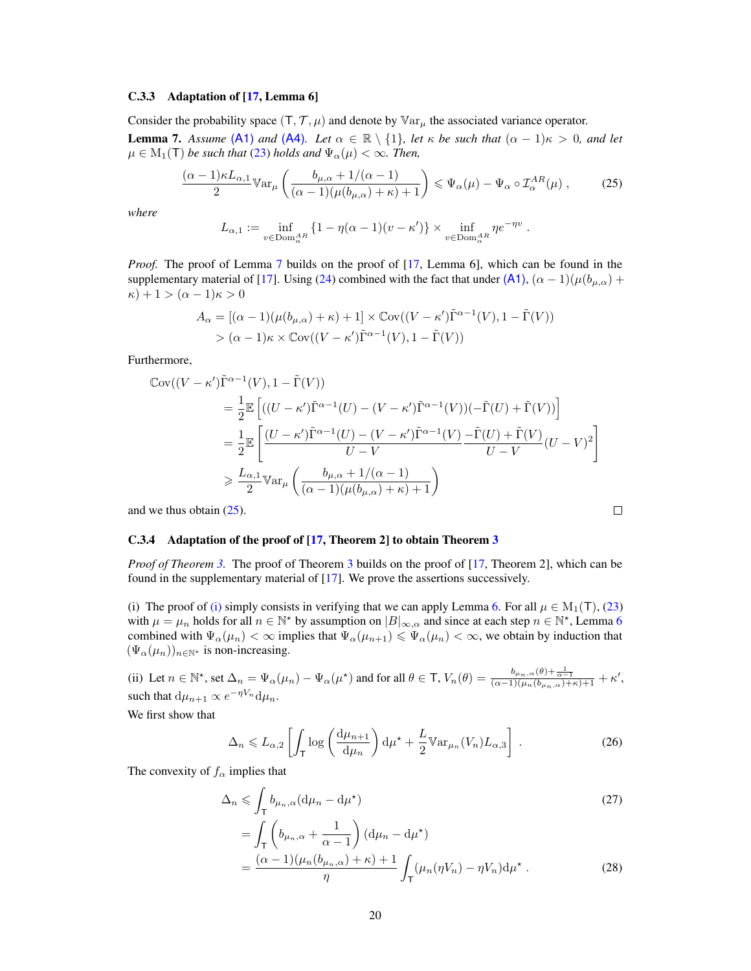#### C.3.3 Adaptation of [\[17,](#page-10-7) Lemma 6]

<span id="page-19-0"></span>Consider the probability space  $(T, \mathcal{T}, \mu)$  and denote by  $\mathbb{V}ar_{\mu}$  the associated variance operator. **Lemma 7.** Assume [\(A1\)](#page-2-3) and [\(A4\)](#page-6-1). Let  $\alpha \in \mathbb{R} \setminus \{1\}$ , let  $\kappa$  be such that  $(\alpha - 1)\kappa > 0$ , and let  $\mu \in M_1(\mathsf{T})$  *be such that* [\(23\)](#page-18-1) *holds and*  $\Psi_\alpha(\mu) < \infty$ *. Then,* 

$$
\frac{(\alpha-1)\kappa L_{\alpha,1}}{2}\mathbb{V}\text{ar}_{\mu}\left(\frac{b_{\mu,\alpha}+1/(\alpha-1)}{(\alpha-1)(\mu(b_{\mu,\alpha})+\kappa)+1}\right) \leq \Psi_{\alpha}(\mu) - \Psi_{\alpha} \circ \mathcal{I}_{\alpha}^{AR}(\mu) ,\qquad(25)
$$

*where*

<span id="page-19-1"></span>
$$
L_{\alpha,1} := \inf_{v \in \text{Dom}_{\alpha}^{AR}} \{1 - \eta(\alpha - 1)(v - \kappa')\} \times \inf_{v \in \text{Dom}_{\alpha}^{AR}} \eta e^{-\eta v} .
$$

*Proof.* The proof of Lemma [7](#page-19-0) builds on the proof of [\[17,](#page-10-7) Lemma 6], which can be found in the supplementary material of [\[17\]](#page-10-7). Using [\(24\)](#page-18-2) combined with the fact that under [\(A1\)](#page-2-3),  $(\alpha - 1)(\mu(b_{\mu,\alpha}) +$  $\kappa$ ) + 1 >  $(\alpha - 1)\kappa$  > 0

$$
A_{\alpha} = [(\alpha - 1)(\mu(b_{\mu,\alpha}) + \kappa) + 1] \times \mathbb{C}\text{ov}((V - \kappa')\tilde{\Gamma}^{\alpha - 1}(V), 1 - \tilde{\Gamma}(V))
$$
  
> (\alpha - 1)\kappa \times \mathbb{C}\text{ov}((V - \kappa')\tilde{\Gamma}^{\alpha - 1}(V), 1 - \tilde{\Gamma}(V))

Furthermore,

$$
\begin{split} \mathbb{C}\text{ov}((V-\kappa')\tilde{\Gamma}^{\alpha-1}(V),1-\tilde{\Gamma}(V)) \\ &= \frac{1}{2}\mathbb{E}\left[((U-\kappa')\tilde{\Gamma}^{\alpha-1}(U)-(V-\kappa')\tilde{\Gamma}^{\alpha-1}(V))(-\tilde{\Gamma}(U)+\tilde{\Gamma}(V))\right] \\ &= \frac{1}{2}\mathbb{E}\left[\frac{(U-\kappa')\tilde{\Gamma}^{\alpha-1}(U)-(V-\kappa')\tilde{\Gamma}^{\alpha-1}(V)}{U-V}-\frac{\tilde{\Gamma}(U)+\tilde{\Gamma}(V)}{U-V}(U-V)^{2}\right] \\ &\geqslant \frac{L_{\alpha,1}}{2}\mathbb{V}\text{ar}_{\mu}\left(\frac{b_{\mu,\alpha}+1/(\alpha-1)}{(\alpha-1)(\mu(b_{\mu,\alpha})+\kappa)+1}\right) \end{split}
$$
 we thus obtain (25).

and we thus obtain [\(25\)](#page-19-1).

#### C.3.4 Adaptation of the proof of [\[17,](#page-10-7) Theorem 2] to obtain Theorem [3](#page-6-0)

*Proof of Theorem [3.](#page-6-0)* The proof of Theorem [3](#page-6-0) builds on the proof of [\[17,](#page-10-7) Theorem 2], which can be found in the supplementary material of [\[17\]](#page-10-7). We prove the assertions successively.

[\(i\)](#page-6-2) The proof of (i) simply consists in verifying that we can apply Lemma [6.](#page-18-3) For all  $\mu \in M_1(\mathcal{T})$ , [\(23\)](#page-18-1) with  $\mu = \mu_n$  holds for all  $n \in \mathbb{N}^*$  by assumption on  $|B|_{\infty,\alpha}$  and since at each step  $n \in \mathbb{N}^*$ , Lemma [6](#page-18-3) combined with  $\Psi_\alpha(\mu_n) < \infty$  implies that  $\Psi_\alpha(\mu_{n+1}) \leq \Psi_\alpha(\mu_n) < \infty$ , we obtain by induction that  $(\Psi_{\alpha}(\mu_n))_{n\in\mathbb{N}^*}$  is non-increasing.

(ii) Let  $n \in \mathbb{N}^*$ , set  $\Delta_n = \Psi_\alpha(\mu_n) - \Psi_\alpha(\mu^*)$  and for all  $\theta \in \mathsf{T}$ ,  $V_n(\theta) = \frac{b_{\mu_n,\alpha}(\theta) + \frac{1}{\alpha-1}}{(\alpha-1)(\mu_n(b_{\mu_n,\alpha}) + \kappa) + 1} + \kappa'$ , such that  $d\mu_{n+1} \propto e^{-\eta V_n} d\mu_n$ .

We first show that

$$
\Delta_n \leqslant L_{\alpha,2} \left[ \int_{\mathsf{T}} \log \left( \frac{\mathrm{d}\mu_{n+1}}{\mathrm{d}\mu_n} \right) \mathrm{d}\mu^* + \frac{L}{2} \mathbb{V} \mathrm{ar}_{\mu_n}(V_n) L_{\alpha,3} \right] \,. \tag{26}
$$

The convexity of  $f_\alpha$  implies that

=

$$
\Delta_n \leqslant \int_{\mathsf{T}} b_{\mu_n,\alpha} (\mathrm{d}\mu_n - \mathrm{d}\mu^\star) \n= \int_{\mathsf{T}} \left( b_{\mu_n,\alpha} + \frac{1}{\alpha - 1} \right) (\mathrm{d}\mu_n - \mathrm{d}\mu^\star)
$$
\n(27)

<span id="page-19-2"></span>
$$
=\frac{(\alpha-1)(\mu_n(b_{\mu_n,\alpha})+\kappa)+1}{\eta}\int_{\mathsf{T}}(\mu_n(\eta V_n)-\eta V_n)\mathrm{d}\mu^\star\;.\tag{28}
$$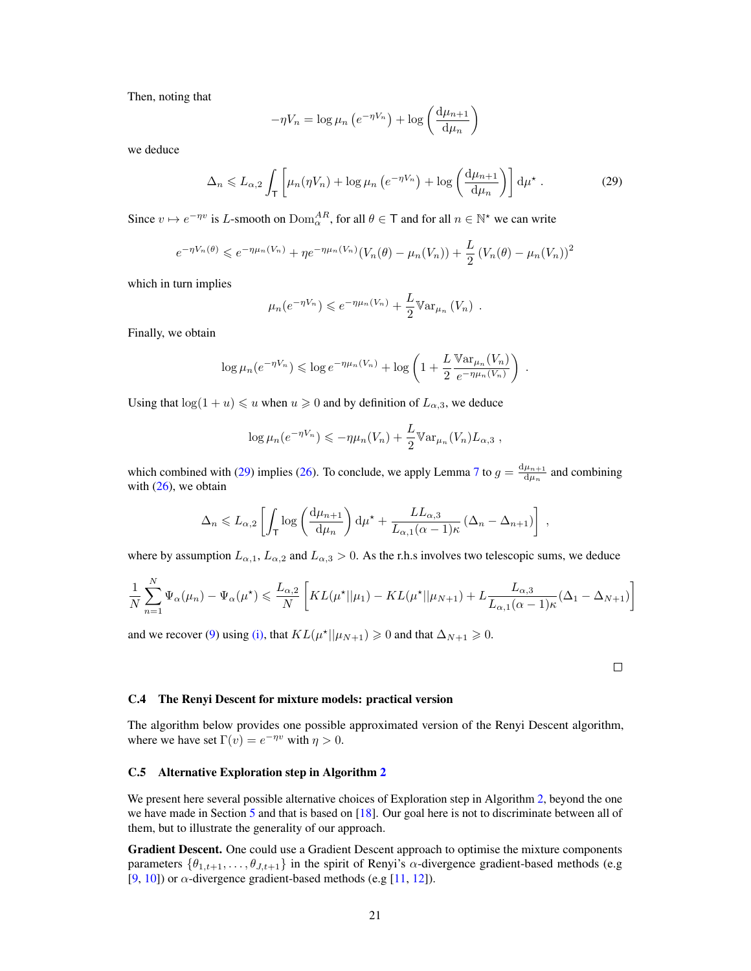Then, noting that

<span id="page-20-2"></span>
$$
-\eta V_n = \log \mu_n \left( e^{-\eta V_n} \right) + \log \left( \frac{d \mu_{n+1}}{d \mu_n} \right)
$$

we deduce

$$
\Delta_n \leq L_{\alpha,2} \int_{\mathsf{T}} \left[ \mu_n(\eta V_n) + \log \mu_n \left( e^{-\eta V_n} \right) + \log \left( \frac{\mathrm{d} \mu_{n+1}}{\mathrm{d} \mu_n} \right) \right] \mathrm{d} \mu^{\star} \,. \tag{29}
$$

Since  $v \mapsto e^{-\eta v}$  is L-smooth on  $\text{Dom}_{\alpha}^{AR}$ , for all  $\theta \in \mathsf{T}$  and for all  $n \in \mathbb{N}^*$  we can write

$$
e^{-\eta V_n(\theta)} \le e^{-\eta \mu_n(V_n)} + \eta e^{-\eta \mu_n(V_n)} (V_n(\theta) - \mu_n(V_n)) + \frac{L}{2} (V_n(\theta) - \mu_n(V_n))^2
$$

which in turn implies

$$
\mu_n(e^{-\eta V_n}) \leqslant e^{-\eta \mu_n(V_n)} + \frac{L}{2} \mathbb{V}ar_{\mu_n}(V_n) .
$$

Finally, we obtain

$$
\log \mu_n(e^{-\eta V_n}) \leqslant \log e^{-\eta \mu_n(V_n)} + \log \left(1 + \frac{L}{2} \frac{\mathbb{V}\mathrm{ar}_{\mu_n}(V_n)}{e^{-\eta \mu_n(V_n)}}\right) .
$$

Using that  $log(1 + u) \leq u$  when  $u \geq 0$  and by definition of  $L_{\alpha,3}$ , we deduce

$$
\log \mu_n(e^{-\eta V_n}) \leqslant -\eta \mu_n(V_n) + \frac{L}{2} \mathbb{V}ar_{\mu_n}(V_n) L_{\alpha,3} ,
$$

which combined with [\(29\)](#page-20-2) implies [\(26\)](#page-19-2). To conclude, we apply Lemma [7](#page-19-0) to  $g = \frac{d\mu_{n+1}}{du}$  $\frac{\mu_{n+1}}{d\mu_n}$  and combining with  $(26)$ , we obtain

$$
\Delta_n \leq L_{\alpha,2} \left[ \int_{\mathsf{T}} \log \left( \frac{d\mu_{n+1}}{d\mu_n} \right) d\mu^* + \frac{L L_{\alpha,3}}{L_{\alpha,1}(\alpha - 1)\kappa} \left( \Delta_n - \Delta_{n+1} \right) \right],
$$

where by assumption  $L_{\alpha,1}$ ,  $L_{\alpha,2}$  and  $L_{\alpha,3} > 0$ . As the r.h.s involves two telescopic sums, we deduce

$$
\frac{1}{N} \sum_{n=1}^{N} \Psi_{\alpha}(\mu_n) - \Psi_{\alpha}(\mu^*) \le \frac{L_{\alpha,2}}{N} \left[ KL(\mu^* || \mu_1) - KL(\mu^* || \mu_{N+1}) + L \frac{L_{\alpha,3}}{L_{\alpha,1}(\alpha - 1)\kappa} (\Delta_1 - \Delta_{N+1}) \right]
$$

and we recover [\(9\)](#page-6-3) using [\(i\),](#page-6-2) that  $KL(\mu^*||\mu_{N+1}) \ge 0$  and that  $\Delta_{N+1} \ge 0$ .

 $\Box$ 

#### <span id="page-20-0"></span>C.4 The Renyi Descent for mixture models: practical version

The algorithm below provides one possible approximated version of the Renyi Descent algorithm, where we have set  $\Gamma(v) = e^{-\eta v}$  with  $\eta > 0$ .

#### <span id="page-20-1"></span>C.5 Alternative Exploration step in Algorithm [2](#page-8-0)

We present here several possible alternative choices of Exploration step in Algorithm [2,](#page-8-0) beyond the one we have made in Section [5](#page-7-0) and that is based on [\[18\]](#page-10-8). Our goal here is not to discriminate between all of them, but to illustrate the generality of our approach.

Gradient Descent. One could use a Gradient Descent approach to optimise the mixture components parameters  $\{\theta_{1,t+1},\ldots,\theta_{J,t+1}\}$  in the spirit of Renyi's  $\alpha$ -divergence gradient-based methods (e.g. [\[9,](#page-9-8) [10\]](#page-10-0)) or  $\alpha$ -divergence gradient-based methods (e.g [\[11,](#page-10-1) [12\]](#page-10-2)).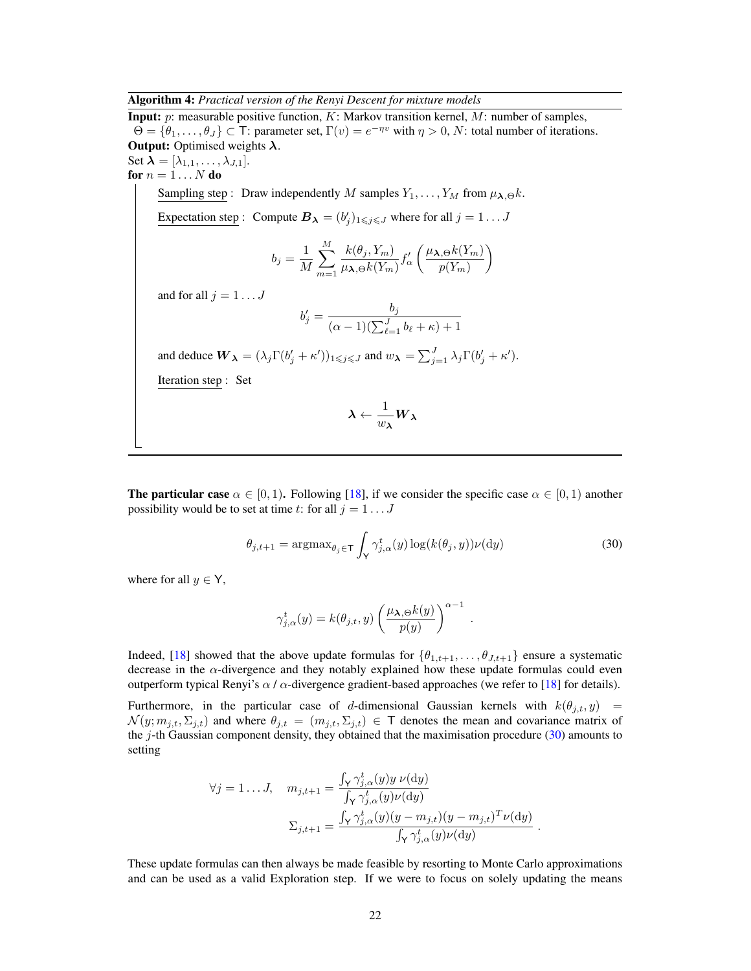Algorithm 4: *Practical version of the Renyi Descent for mixture models*

<span id="page-21-0"></span>**Input:**  $p$ : measurable positive function,  $K$ : Markov transition kernel,  $M$ : number of samples,  $\Theta = \{\theta_1, \ldots, \theta_J\} \subset \mathsf{T}$ : parameter set,  $\Gamma(v) = e^{-\eta v}$  with  $\eta > 0$ , N: total number of iterations. **Output:** Optimised weights  $\lambda$ .

Set  $\lambda = [\lambda_{1,1}, \ldots, \lambda_{J,1}].$ for  $n = 1 \dots N$  do

Sampling step : Draw independently M samples  $Y_1, \ldots, Y_M$  from  $\mu_{\lambda,\Theta} k$ .

Expectation step: Compute  $B_{\lambda} = (b'_j)_{1 \leq j \leq J}$  where for all  $j = 1...J$ 

$$
b_j = \frac{1}{M} \sum_{m=1}^{M} \frac{k(\theta_j, Y_m)}{\mu_{\lambda, \Theta} k(Y_m)} f_{\alpha}' \left( \frac{\mu_{\lambda, \Theta} k(Y_m)}{p(Y_m)} \right)
$$

and for all  $j=1\dots J$ 

$$
b'_j = \frac{b_j}{(\alpha - 1)(\sum_{\ell=1}^J b_\ell + \kappa) + 1}
$$

and deduce  $W_{\lambda} = (\lambda_j \Gamma(b'_j + \kappa'))_{1 \leq j \leq J}$  and  $w_{\lambda} = \sum_{j=1}^{J} \lambda_j \Gamma(b'_j + \kappa').$ 

Iteration step : Set

<span id="page-21-1"></span>
$$
\boldsymbol{\lambda} \leftarrow \frac{1}{w_{\boldsymbol{\lambda}}} \boldsymbol{W}_{\boldsymbol{\lambda}}
$$

**The particular case**  $\alpha \in [0, 1)$ . Following [\[18\]](#page-10-8), if we consider the specific case  $\alpha \in [0, 1)$  another possibility would be to set at time t: for all  $j = 1...J$ 

$$
\theta_{j,t+1} = \operatorname{argmax}_{\theta_j \in \mathsf{T}} \int_{\mathsf{Y}} \gamma_{j,\alpha}^t(y) \log(k(\theta_j, y)) \nu(\mathrm{d}y) \tag{30}
$$

where for all  $y \in Y$ ,

$$
\gamma_{j,\alpha}^t(y) = k(\theta_{j,t},y) \left( \frac{\mu_{\boldsymbol{\lambda},\Theta} k(y)}{p(y)} \right)^{\alpha-1} .
$$

Indeed, [\[18\]](#page-10-8) showed that the above update formulas for  $\{\theta_{1,t+1}, \ldots, \theta_{J,t+1}\}$  ensure a systematic decrease in the  $\alpha$ -divergence and they notably explained how these update formulas could even outperform typical Renyi's  $\alpha$  /  $\alpha$ -divergence gradient-based approaches (we refer to [\[18\]](#page-10-8) for details).

Furthermore, in the particular case of d-dimensional Gaussian kernels with  $k(\theta_{j,t}, y)$  =  $\mathcal{N}(y; m_{j,t}, \Sigma_{j,t})$  and where  $\theta_{j,t} = (m_{j,t}, \Sigma_{j,t}) \in \mathsf{T}$  denotes the mean and covariance matrix of the  $j$ -th Gaussian component density, they obtained that the maximisation procedure [\(30\)](#page-21-1) amounts to setting

$$
\forall j = 1...J, \quad m_{j,t+1} = \frac{\int_{\mathsf{Y}} \gamma_{j,\alpha}^t(y) y \nu(\mathrm{d}y)}{\int_{\mathsf{Y}} \gamma_{j,\alpha}^t(y) \nu(\mathrm{d}y)} \n\n\Sigma_{j,t+1} = \frac{\int_{\mathsf{Y}} \gamma_{j,\alpha}^t(y) (y - m_{j,t}) (y - m_{j,t})^T \nu(\mathrm{d}y)}{\int_{\mathsf{Y}} \gamma_{j,\alpha}^t(y) \nu(\mathrm{d}y)}.
$$

These update formulas can then always be made feasible by resorting to Monte Carlo approximations and can be used as a valid Exploration step. If we were to focus on solely updating the means